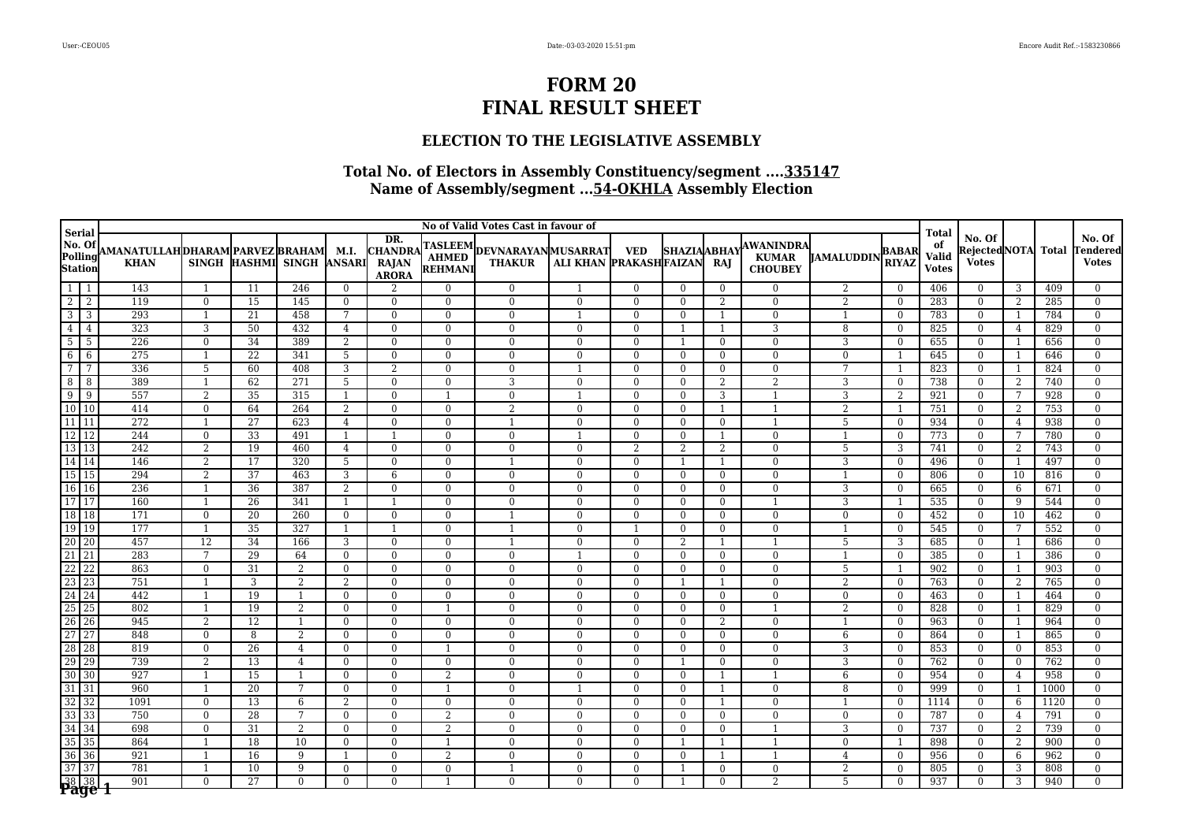### **ELECTION TO THE LEGISLATIVE ASSEMBLY**

|                                             | No of Valid Votes Cast in favour of<br><b>Serial</b> |                                |                 |                           |                                |                                                       |                          |                                              |                                |                                |                          |                              |                                                    |                   | <b>Total</b>                 |                             |                                        |                                  |            |                                           |
|---------------------------------------------|------------------------------------------------------|--------------------------------|-----------------|---------------------------|--------------------------------|-------------------------------------------------------|--------------------------|----------------------------------------------|--------------------------------|--------------------------------|--------------------------|------------------------------|----------------------------------------------------|-------------------|------------------------------|-----------------------------|----------------------------------------|----------------------------------|------------|-------------------------------------------|
| No. Of<br>Polling<br>Station                | AMANATULLAHDHARAM PARVEZ BRAHAM  M.I.<br><b>KHAN</b> |                                |                 | SINGH HASHMI SINGH ANSARI |                                | DR.<br><b>CHANDRA</b><br><b>RAJAN</b><br><b>ARORA</b> | <b>REHMANI</b>           | TASLEEM DEVNARAYAN MUSARRAT<br><b>THAKUR</b> | ALI KHAN  PRAKASH FAIZAN       | <b>VED</b>                     | <b>SHAZIAABHAY</b>       | RAJ                          | <b>AWANINDRA</b><br><b>KUMAR</b><br><b>CHOUBEY</b> | <b>JAMALUDDIN</b> | <b>BABAR</b><br><b>RIYAZ</b> | of<br>Valid<br><b>Votes</b> | No. Of<br>RejectedNOTA<br><b>Votes</b> |                                  | Total      | No. Of<br><b>Tendered</b><br><b>Votes</b> |
| $\overline{1}$<br>-1                        | 143                                                  | $\overline{1}$                 | 11              | 246                       | $\theta$                       | $\overline{2}$                                        | $\Omega$                 | $\Omega$                                     | -1                             | $\Omega$                       | $\theta$                 | $\Omega$                     | $\Omega$                                           | 2                 | $\theta$                     | 406                         | $\theta$                               | 3                                | 409        | $\Omega$                                  |
| $\overline{2}$<br>2                         | 119                                                  | $\Omega$                       | 15              | 145                       | $\theta$                       | $\theta$                                              | $\Omega$                 | $\Omega$                                     | $\Omega$                       | $\Omega$                       | $\Omega$                 | 2                            | $\Omega$                                           | $\overline{2}$    | $\Omega$                     | 283                         | $\theta$                               | 2                                | 285        | $\Omega$                                  |
| ს<br>კ<br>3                                 | 293                                                  | $\overline{1}$                 | 21              | 458                       | 7                              | $\theta$                                              | $\Omega$                 | $\Omega$                                     | -1                             | $\theta$                       | $\theta$                 | $\overline{1}$               | $\Omega$                                           | $\mathbf{1}$      | $\Omega$                     | 783                         | $\mathbf{0}$                           | $\mathbf{1}$                     | 784        | $\mathbf{0}$                              |
| $\overline{4}$<br>$\overline{4}$            | 323                                                  | 3                              | 50              | 432                       | $\overline{4}$                 | $\Omega$                                              | $\Omega$                 | $\theta$                                     | $\mathbf{0}$                   | $\mathbf{0}$                   | -1                       | $\mathbf{1}$                 | 3                                                  | 8                 | $\theta$                     | 825                         | $\mathbf{0}$                           | 4                                | 829        | $\overline{0}$                            |
| $5\overline{)}$<br>5                        | 226                                                  | $\Omega$                       | 34              | 389                       | 2                              | $\Omega$                                              | $\Omega$                 | $\Omega$                                     | $\theta$                       | $\mathbf{0}$                   | $\overline{1}$           | $\theta$                     | $\theta$                                           | 3                 | $\Omega$                     | 655                         | $\overline{0}$                         | $\overline{1}$                   | 656        | $\Omega$                                  |
| 6<br>6                                      | 275                                                  | $\overline{1}$                 | 22              | 341                       | 5                              | $\Omega$                                              | $\Omega$                 | $\theta$                                     | $\overline{0}$                 | $\theta$                       | $\theta$                 | $\Omega$                     | $\overline{0}$                                     | $\mathbf{0}$      | $\overline{1}$               | 645                         | $\overline{0}$                         | 1                                | 646        | $\overline{0}$                            |
| $\overline{7}$<br>7                         | 336                                                  | 5                              | 60              | 408                       | 3                              | 2                                                     | $\Omega$                 | $\Omega$                                     | $\overline{1}$                 | $\Omega$                       | $\Omega$                 | $\Omega$                     | $\theta$                                           | $\overline{7}$    | $\overline{1}$               | 823                         | $\mathbf{0}$                           | $\overline{1}$                   | 824        | $\theta$                                  |
| 8<br>8                                      | 389                                                  | $\overline{1}$                 | 62              | 271                       | 5                              | $\Omega$                                              | $\Omega$                 | 3                                            | $\mathbf{0}$                   | $\theta$                       | $\theta$                 | 2                            | $\overline{2}$                                     | 3                 | $\theta$                     | 738                         | $\mathbf{0}$                           | 2                                | 740        | $\overline{0}$                            |
| $\overline{9}$<br>9                         | 557                                                  | 2                              | 35              | 315                       | $\overline{1}$                 | $\theta$                                              | 1                        | $\theta$                                     | $\overline{1}$                 | $\theta$                       | $\theta$                 | 3                            | 1                                                  | 3                 | 2                            | 921                         | $\mathbf{0}$                           | 7                                | 928        | $\overline{0}$                            |
| 10 10                                       | 414                                                  | $\mathbf{0}$                   | 64              | 264                       | 2                              | $\mathbf{0}$                                          | $\Omega$                 | $\overline{2}$                               | $\mathbf{0}$                   | $\mathbf{0}$                   | $\theta$                 | $\overline{1}$               | $\overline{1}$                                     | $\overline{2}$    | $\overline{1}$               | 751                         | $\mathbf{0}$                           | 2                                | 753        | $\Omega$                                  |
| 11 11                                       | $\overline{272}$                                     | $\overline{1}$                 | 27              | 623                       | $\overline{4}$                 | $\Omega$                                              | $\Omega$                 | $\overline{1}$                               | $\mathbf{0}$                   | $\mathbf{0}$                   | $\theta$                 | $\mathbf{0}$                 | $\overline{1}$                                     | 5                 | $\theta$                     | 934                         | $\mathbf{0}$                           | $\overline{4}$                   | 938        | $\overline{0}$                            |
| 12 <br>12                                   | 244                                                  | $\mathbf{0}$                   | 33              | 491                       | $\mathbf{1}$                   | $\overline{1}$                                        | $\Omega$                 | $\theta$                                     | $\overline{1}$                 | $\overline{0}$                 | $\theta$                 | $\mathbf{1}$                 | $\mathbf{0}$                                       | $\mathbf{1}$      | $\theta$                     | 773                         | $\overline{0}$                         | 7                                | 780        | $\theta$                                  |
| 13 13                                       | 242                                                  | $\overline{2}$                 | 19              | 460                       | $\overline{4}$                 | $\Omega$                                              | $\Omega$                 | $\theta$                                     | $\overline{0}$                 | $\overline{2}$                 | 2                        | 2                            | $\overline{0}$                                     | 5                 | 3                            | 741                         | $\bf{0}$                               | 2                                | 743        | $\mathbf{0}$                              |
| 14 14                                       | 146                                                  | 2                              | $\overline{17}$ | $\overline{320}$          | 5                              | $\Omega$                                              | $\Omega$                 | $\overline{1}$                               | $\theta$                       | $\Omega$                       | $\overline{1}$           | $\overline{1}$               | $\theta$                                           | $\overline{3}$    | $\theta$                     | 496                         | $\mathbf{0}$                           | $\mathbf{1}$                     | 497        | $\overline{0}$                            |
| 15<br>15                                    | 294                                                  | $\overline{2}$                 | 37              | 463                       | 3                              | 6                                                     | $\mathbf{0}$             | $\mathbf{0}$                                 | $\overline{0}$                 | $\overline{0}$                 | $\theta$                 | $\mathbf{0}$                 | $\mathbf{0}$                                       | $\mathbf{1}$      | $\theta$                     | 806                         | $\mathbf{0}$                           | 10                               | 816        | $\overline{0}$                            |
| 16 16                                       | 236                                                  | 1                              | 36              | 387                       | 2                              | $\overline{0}$                                        | $\mathbf{0}$             | $\mathbf{0}$                                 | $\mathbf{0}$                   | $\mathbf{0}$                   | $\mathbf{0}$             | $\mathbf{0}$                 | $\bf{0}$                                           | 3                 | $\mathbf{0}$                 | 665                         | $\mathbf{0}$                           | 6                                | 671        | $\overline{0}$                            |
| 17 17                                       | 160                                                  | $\overline{1}$                 | $\overline{26}$ | $\overline{341}$          | $\mathbf{1}$                   |                                                       | $\Omega$                 | $\Omega$                                     | $\mathbf{0}$                   | $\mathbf{0}$                   | $\theta$                 | $\mathbf{0}$                 | $\overline{1}$                                     | $\overline{3}$    | $\mathbf{1}$                 | 535                         | $\overline{0}$                         | 9                                | 544        | $\mathbf{0}$                              |
| 18 18                                       | 171                                                  | $\overline{0}$                 | 20              | 260                       | $\mathbf{0}$                   | $\mathbf{0}$                                          | $\Omega$                 | $\overline{1}$                               | $\mathbf{0}$                   | $\mathbf{0}$                   | $\theta$                 | $\theta$                     | $\mathbf{0}$                                       | $\mathbf{0}$      | $\overline{0}$               | 452                         | $\mathbf{0}$                           | 10                               | 462        | $\overline{0}$                            |
| $\boxed{19}$<br><sup>19</sup>               | 177                                                  | 1                              | 35              | 327                       | $\mathbf{1}$                   |                                                       | $\Omega$                 | $\overline{1}$                               | $\mathbf{0}$                   | $\overline{1}$                 | $\theta$                 | $\mathbf{0}$                 | $\mathbf{0}$                                       | $\mathbf{1}$      | $\Omega$                     | 545                         | $\overline{0}$                         | 7                                | 552        | $\theta$                                  |
| 20<br>$\overline{20}$                       | 457                                                  | 12                             | 34              | 166                       | 3                              | $\overline{0}$                                        | $\Omega$                 |                                              | $\mathbf{0}$                   | $\mathbf{0}$                   | 2                        | -1                           | $\mathbf{1}$                                       | 5                 | 3                            | 685                         | $\bf{0}$                               | $\mathbf{1}$                     | 686        | $\overline{0}$                            |
| 21 21                                       | 283                                                  | $7\phantom{.0}$                | 29              | 64                        | $\mathbf{0}$                   | $\Omega$                                              | $\Omega$                 | $\Omega$                                     | $\overline{1}$                 | $\theta$                       | $\theta$                 | $\mathbf{0}$                 | $\mathbf{0}$                                       | $\mathbf{1}$      | $\theta$                     | 385                         | $\overline{0}$                         | $\mathbf{1}$                     | 386        | $\overline{0}$                            |
| 22<br>22                                    | 863                                                  | $\mathbf{0}$                   | 31              | 2                         | $\bf{0}$                       | $\overline{0}$                                        | $\mathbf{0}$             | $\mathbf{0}$                                 | $\mathbf{0}$                   | $\mathbf{0}$                   | $\theta$                 | $\mathbf{0}$                 | $\mathbf{0}$                                       | 5                 | - 1                          | 902                         | $\mathbf{0}$                           |                                  | 903        | $\mathbf{0}$                              |
| $\sqrt{23}$<br>$\sqrt{23}$                  | 751                                                  | -1<br>$\overline{1}$           | 3               | 2                         | 2                              | $\overline{0}$                                        | $\mathbf{0}$             | $\mathbf{0}$                                 | $\mathbf{0}$                   | $\mathbf{0}$                   | -1                       | $\mathbf{1}$                 | $\bf{0}$                                           | 2                 | $\overline{0}$               | 763                         | $\mathbf{0}$                           | 2                                | 765        | $\overline{0}$                            |
| 24 24                                       | 442                                                  |                                | 19              |                           | $\mathbf{0}$                   | $\mathbf{0}$                                          | $\Omega$<br>$\mathbf{1}$ | $\theta$                                     | $\mathbf{0}$                   | $\mathbf{0}$                   | $\theta$                 | $\mathbf{0}$                 | $\mathbf{0}$<br>$\mathbf{1}$                       | $\mathbf{0}$      | $\theta$                     | 463                         | $\bf{0}$                               | $\overline{1}$                   | 464        | $\theta$                                  |
| 25<br>25<br>26                              | 802<br>945                                           | 1                              | 19              | 2<br>$\overline{1}$       | $\mathbf{0}$                   | $\Omega$                                              | $\Omega$                 | $\Omega$<br>$\theta$                         | $\mathbf{0}$                   | $\mathbf{0}$                   | $\theta$                 | $\mathbf{0}$                 |                                                    | 2<br>$\mathbf{1}$ | $\Omega$<br>$\theta$         | 828                         | $\bf{0}$                               | $\overline{1}$<br>$\overline{1}$ | 829        | $\overline{0}$<br>$\theta$                |
| $\overline{26}$<br>27                       |                                                      | 2                              | 12              |                           | $\mathbf{0}$                   | $\mathbf{0}$                                          |                          |                                              | $\mathbf{0}$                   | $\mathbf{0}$                   | $\theta$                 | 2                            | $\mathbf{0}$                                       |                   |                              | 963                         | $\mathbf 0$                            |                                  | 964        |                                           |
| 27<br>28 28                                 | 848<br>819                                           | $\overline{0}$<br>$\mathbf{0}$ | 8<br>26         | 2                         | $\mathbf{0}$<br>$\overline{0}$ | $\mathbf{0}$<br>$\mathbf{0}$                          | $\mathbf{0}$<br>1        | $\mathbf{0}$<br>$\mathbf{0}$                 | $\mathbf{0}$<br>$\overline{0}$ | $\mathbf{0}$<br>$\overline{0}$ | $\Omega$<br>$\mathbf{0}$ | $\mathbf{0}$<br>$\mathbf{0}$ | $\mathbf{0}$<br>$\mathbf{0}$                       | 6<br>3            | $\mathbf{0}$<br>$\mathbf{0}$ | 864<br>853                  | $\bf{0}$<br>$\mathbf{0}$               | $\overline{1}$<br>$\mathbf{0}$   | 865<br>853 | $\bf{0}$<br>$\mathbf{0}$                  |
| <sup>29</sup><br>$\overline{29}$            | 739                                                  | $\overline{2}$                 | $\overline{13}$ | 4<br>$\overline{4}$       | $\mathbf{0}$                   | $\mathbf{0}$                                          | $\mathbf{0}$             | $\mathbf{0}$                                 | $\mathbf{0}$                   | $\mathbf{0}$                   |                          | $\mathbf{0}$                 | $\bf{0}$                                           | 3                 | $\theta$                     | 762                         | $\mathbf 0$                            | $\mathbf{0}$                     | 762        | $\mathbf{0}$                              |
| 30 30                                       | 927                                                  | $\mathbf{1}$                   | 15              | -1                        | $\mathbf{0}$                   | $\overline{0}$                                        | 2                        | $\mathbf{0}$                                 | $\mathbf{0}$                   | $\mathbf{0}$                   | $\mathbf{0}$             | -1                           | $\mathbf{1}$                                       | 6                 | $\overline{0}$               | 954                         | $\bf{0}$                               | 4                                | 958        | $\overline{0}$                            |
| $31\overline{)31}$                          | 960                                                  | 1                              | 20              | 7                         | $\mathbf{0}$                   | $\theta$                                              | $\overline{1}$           | $\Omega$                                     | $\overline{1}$                 | $\theta$                       | $\theta$                 | 1                            | $\mathbf{0}$                                       | 8                 | $\theta$                     | 999                         | $\overline{0}$                         | 1                                | 1000       | $\Omega$                                  |
| 32<br>$\overline{32}$                       | 1091                                                 | $\overline{0}$                 | 13              | 6                         | 2                              | $\mathbf{0}$                                          | $\mathbf{0}$             | $\mathbf{0}$                                 | $\mathbf{0}$                   | $\mathbf{0}$                   | $\theta$                 | -1                           | $\mathbf{0}$                                       |                   | $\mathbf{0}$                 | 1114                        | $\mathbf{0}$                           | 6                                | 1120       | $\overline{0}$                            |
| 33<br> 33                                   | 750                                                  | $\overline{0}$                 | 28              | 7                         | $\mathbf{0}$                   | $\overline{0}$                                        | 2                        | $\Omega$                                     | $\overline{0}$                 | $\overline{0}$                 | $\theta$                 | $\mathbf{0}$                 | $\mathbf{0}$                                       | $\mathbf{0}$      | $\theta$                     | 787                         | $\overline{0}$                         | 4                                | 791        | $\mathbf{0}$                              |
| 34 34                                       | 698                                                  | $\mathbf{0}$                   | 31              | 2                         | $\mathbf{0}$                   | $\mathbf{0}$                                          | 2                        | $\mathbf{0}$                                 | $\overline{0}$                 | $\overline{0}$                 | $\mathbf{0}$             | $\mathbf{0}$                 | $\mathbf{1}$                                       | 3                 | $\mathbf{0}$                 | 737                         | $\mathbf{0}$                           | 2                                | 739        | $\mathbf{0}$                              |
| 35<br>35                                    | 864                                                  | $\overline{1}$                 | 18              | 10                        | $\theta$                       | $\Omega$                                              | $\overline{1}$           | $\Omega$                                     | $\Omega$                       | $\Omega$                       | -1                       | $\overline{1}$               | $\overline{1}$                                     | $\mathbf{0}$      | $\overline{1}$               | 898                         | $\mathbf{0}$                           | 2                                | 900        | $\overline{0}$                            |
| 36 <br>36                                   | 921                                                  | $\overline{1}$                 | 16              | 9                         | $\overline{1}$                 | $\Omega$                                              | 2                        | $\Omega$                                     | $\mathbf{0}$                   | $\theta$                       | $\theta$                 | $\overline{\mathbf{1}}$      | $\mathbf{1}$                                       | $\overline{4}$    | $\theta$                     | 956                         | $\overline{0}$                         | 6                                | 962        | $\Omega$                                  |
| $\sqrt{37}$<br>37                           | 781                                                  | 1                              | 10              | 9                         | $\overline{0}$                 | $\Omega$                                              | $\mathbf{0}$             | $\overline{\mathbf{1}}$                      | $\overline{0}$                 | $\overline{0}$                 | -1                       | $\mathbf{0}$                 | $\overline{0}$                                     | $\overline{2}$    | $\Omega$                     | 805                         | $\mathbf{0}$                           | 3                                | 808        | $\overline{0}$                            |
|                                             | 901                                                  | $\Omega$                       | 27              | 0                         | $\theta$                       | $\Omega$                                              |                          | $\Omega$                                     | $\Omega$                       | $\Omega$                       |                          | $\Omega$                     | $\overline{2}$                                     | $5^{\circ}$       | $\Omega$                     | 937                         | $\Omega$                               | 3                                | 940        | $\Omega$                                  |
| $\frac{38}{2}$ $\frac{38}{2}$ $\frac{1}{2}$ |                                                      |                                |                 |                           |                                |                                                       |                          |                                              |                                |                                |                          |                              |                                                    |                   |                              |                             |                                        |                                  |            |                                           |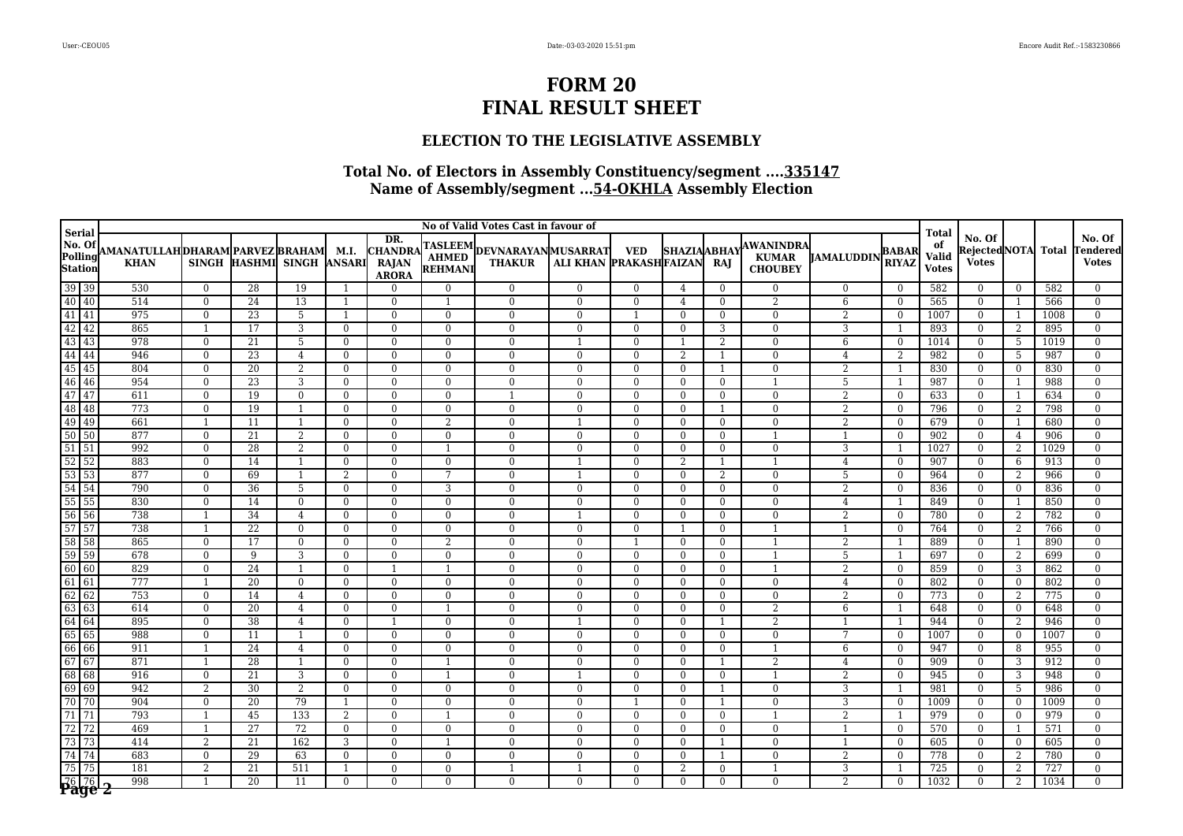### **ELECTION TO THE LEGISLATIVE ASSEMBLY**

|                                       | No of Valid Votes Cast in favour of<br><b>Serial</b> |                |                 |                      |                            |                                                       |                |                                              |                        |                          |                            |                          |                                             |                   |                              |                                             |                                               |                     |                  |                                     |
|---------------------------------------|------------------------------------------------------|----------------|-----------------|----------------------|----------------------------|-------------------------------------------------------|----------------|----------------------------------------------|------------------------|--------------------------|----------------------------|--------------------------|---------------------------------------------|-------------------|------------------------------|---------------------------------------------|-----------------------------------------------|---------------------|------------------|-------------------------------------|
| No. Of<br>Polling<br>Station          | AMANATULLAH DHARAM PARVEZ BRAHAM<br><b>KHAN</b>      | <b>SINGH</b>   | HASHMI SINGH    |                      | M.I.<br><b>ANSARI</b>      | DR.<br><b>CHANDRA</b><br><b>RAJAN</b><br><b>ARORA</b> | REHMANI        | TASLEEM DEVNARAYAN MUSARRAT<br><b>THAKUR</b> | ALI KHAN PRAKASHFAIZAN | <b>VED</b>               | <b>SHAZIAABHAY</b>         | RAJ                      | AWANINDRA<br><b>KUMAR</b><br><b>CHOUBEY</b> | <b>JAMALUDDIN</b> | <b>BABAR</b><br><b>RIYAZ</b> | <b>Total</b><br>of<br>Valid<br><b>Votes</b> | No. Of<br><b>RejectedNOTA</b><br><b>Votes</b> |                     | <b>Total</b>     | No. Of<br>Tenderedl<br><b>Votes</b> |
| $\boxed{39}$                          | 530                                                  | $\mathbf{0}$   | 28              | 19                   | $\overline{1}$             | $\Omega$                                              | $\theta$       | $\Omega$                                     | $\mathbf{0}$           | $\mathbf{0}$             | 4                          | $\Omega$                 | $\mathbf{0}$                                | $\Omega$          | $\Omega$                     | 582                                         | $\Omega$                                      | $\overline{0}$      | 582              | $\Omega$                            |
| 40 40                                 | 514                                                  | $\mathbf{0}$   | 24              | 13                   | $\mathbf{1}$               | $\theta$                                              | $\mathbf{1}$   | $\mathbf{0}$                                 | $\mathbf{0}$           | $\Omega$                 | $\overline{4}$             | $\Omega$                 | 2                                           | 6                 | $\theta$                     | 565                                         | $\overline{0}$                                | 1                   | 566              | $\Omega$                            |
| $\boxed{41}$ $\boxed{41}$             | 975                                                  | $\Omega$       | 23              | $5\phantom{.}$       | $\mathbf{1}$               | $\theta$                                              | $\theta$       | $\Omega$                                     | $\mathbf{0}$           | $\overline{1}$           | $\theta$                   | $\Omega$                 | $\overline{0}$                              | $\overline{2}$    | $\theta$                     | 1007                                        | $\overline{0}$                                | 1                   | 1008             | $\Omega$                            |
| 42 42                                 | 865                                                  | 1              | $\overline{17}$ | 3                    | $\overline{0}$             | $\theta$                                              | $\overline{0}$ | $\Omega$                                     | $\mathbf{0}$           | $\overline{0}$           | $\Omega$                   | 3                        | $\overline{0}$                              | 3                 |                              | 893                                         | $\overline{0}$                                | 2                   | 895              | $\Omega$                            |
| 43 43                                 | 978                                                  | $\theta$       | 21              | 5                    | $\overline{0}$             | $\theta$                                              | $\theta$       | $\Omega$                                     | $\overline{1}$         | $\Omega$                 | $\mathbf{1}$               | 2                        | $\mathbf{0}$                                | 6                 | $\theta$                     | 1014                                        | $\Omega$                                      | 5                   | 1019             | $\Omega$                            |
| 44 44                                 | 946                                                  | $\mathbf{0}$   | 23              | $\overline{4}$       | $\overline{0}$             | $\Omega$                                              | $\mathbf{0}$   | $\Omega$                                     | $\mathbf{0}$           | $\mathbf{0}$             | 2                          |                          | $\mathbf{0}$                                | $\overline{4}$    | $\overline{2}$               | 982                                         | $\mathbf{0}$                                  | -5                  | 987              | $\Omega$                            |
| 45 45                                 | 804                                                  | $\mathbf{0}$   | $\overline{20}$ | $\overline{2}$       | $\overline{0}$             | $\mathbf{0}$                                          | $\mathbf{0}$   | $\theta$                                     | $\mathbf{0}$           | $\overline{0}$           | $\Omega$                   | -1                       | $\mathbf{0}$                                | $\overline{2}$    | $\mathbf{1}$                 | 830                                         | $\overline{0}$                                | $\overline{0}$      | 830              | $\overline{0}$                      |
| 46 46                                 | 954                                                  | $\mathbf{0}$   | 23              | 3                    | $\overline{0}$             | $\mathbf{0}$                                          | $\mathbf{0}$   | $\theta$                                     | $\mathbf{0}$           | $\mathbf{0}$             | $\mathbf{0}$               | $\Omega$                 | $\mathbf{1}$                                | 5                 | $\mathbf{1}$                 | 987                                         | $\mathbf{0}$                                  | $\overline{1}$      | 988              | $\Omega$                            |
| 47 47                                 | 611                                                  | $\mathbf{0}$   | 19              | $\overline{0}$       | $\overline{0}$             | $\theta$                                              | $\mathbf{0}$   | $\overline{1}$                               | $\mathbf{0}$           | $\mathbf{0}$             | $\overline{0}$             | $\mathbf{0}$             | $\bf{0}$                                    | 2                 | $\overline{0}$               | 633                                         | $\overline{0}$                                | 1                   | 634              | $\Omega$                            |
| 48 48                                 | 773                                                  | $\mathbf{0}$   | <sup>19</sup>   | 1                    | $\overline{0}$             | $\Omega$                                              | $\mathbf{0}$   | $\Omega$                                     | $\mathbf{0}$           | $\mathbf{0}$             | $\mathbf{0}$               | $\mathbf{1}$             | $\mathbf{0}$                                | 2                 | $\mathbf{0}$                 | 796                                         | $\overline{0}$                                | 2                   | 798              | $\Omega$                            |
| 49<br>49<br>$\boxed{50}$ $\boxed{50}$ | 661<br>877                                           | 1<br>$\theta$  | 11<br>21        | -1<br>$\overline{2}$ | $\overline{0}$<br>$\theta$ | $\Omega$<br>$\Omega$                                  | 2<br>$\theta$  | $\theta$<br>$\Omega$                         | 1<br>$\Omega$          | $\mathbf{0}$<br>$\Omega$ | $\overline{0}$<br>$\Omega$ | $\mathbf{0}$<br>$\Omega$ | $\mathbf{0}$<br>$\mathbf{1}$                | 2                 | $\mathbf{0}$<br>$\theta$     | 679<br>902                                  | $\overline{0}$<br>$\Omega$                    | $\overline{1}$      | 680<br>906       | $\overline{0}$<br>$\Omega$          |
| $51\overline{)51}$                    | 992                                                  | $\theta$       | 28              | $\overline{2}$       | $\theta$                   | $\Omega$                                              | $\mathbf{1}$   | $\Omega$                                     | $\mathbf{0}$           | $\Omega$                 | $\Omega$                   | $\Omega$                 | $\mathbf{0}$                                | 1<br>3            | $\mathbf{1}$                 | 1027                                        | $\bf{0}$                                      | $\overline{4}$<br>2 | 1029             | $\Omega$                            |
| $\sqrt{52}$<br>$\overline{52}$        | 883                                                  | $\theta$       | 14              | $\mathbf{1}$         | $\theta$                   | $\Omega$                                              | $\theta$       | $\Omega$                                     | $\mathbf{1}$           | $\Omega$                 | 2                          | -1                       | $\mathbf{1}$                                | $\overline{4}$    | $\Omega$                     | 907                                         | $\Omega$                                      | 6                   | 913              | $\Omega$                            |
| $\overline{53 53}$                    | 877                                                  | $\mathbf{0}$   | 69              |                      | 2                          | $\theta$                                              | 7              | $\Omega$                                     | $\overline{1}$         | $\Omega$                 | $\Omega$                   | 2                        | $\mathbf{0}$                                | 5                 | $\theta$                     | 964                                         | $\Omega$                                      | 2                   | 966              | $\Omega$                            |
| $54$ 54                               | 790                                                  | $\mathbf{0}$   | 36              | 5                    | $\overline{0}$             | $\theta$                                              | 3              | $\mathbf{0}$                                 | $\mathbf{0}$           | $\overline{0}$           | $\overline{0}$             | $\Omega$                 | $\overline{0}$                              | 2                 | $\overline{0}$               | 836                                         | $\overline{0}$                                | $\bf{0}$            | 836              | $\Omega$                            |
| 55 55                                 | 830                                                  | $\Omega$       | 14              | $\Omega$             | $\mathbf{0}$               | $\theta$                                              | $\theta$       | $\Omega$                                     | $\mathbf{0}$           | $\mathbf{0}$             | $\Omega$                   | $\Omega$                 | $\mathbf{0}$                                | $\overline{4}$    | $\mathbf{1}$                 | 849                                         | $\overline{0}$                                | $\overline{1}$      | 850              | $\Omega$                            |
| 56<br>56                              | 738                                                  | 1              | $\overline{34}$ | $\overline{4}$       | $\overline{0}$             | $\theta$                                              | $\theta$       | $\Omega$                                     |                        | $\Omega$                 | $\Omega$                   | $\Omega$                 | $\mathbf{0}$                                | $\overline{2}$    | $\theta$                     | 780                                         | $\overline{0}$                                | 2                   | 782              | $\Omega$                            |
| $\boxed{57}$ 57                       | 738                                                  | 1              | 22              | $\Omega$             | $\overline{0}$             | $\Omega$                                              | $\mathbf{0}$   | $\Omega$                                     | $\mathbf{0}$           | $\mathbf{0}$             | $\mathbf{1}$               | $\Omega$                 | $\mathbf{1}$                                | 1                 | $\theta$                     | 764                                         | $\overline{0}$                                | 2                   | 766              | $\Omega$                            |
| 58 58                                 | 865                                                  | $\mathbf{0}$   | 17              | $\overline{0}$       | $\overline{0}$             | $\Omega$                                              | 2              | $\Omega$                                     | $\mathbf{0}$           | $\mathbf{1}$             | $\Omega$                   | $\Omega$                 | $\mathbf{1}$                                | 2                 | $\mathbf{1}$                 | 889                                         | $\mathbf{0}$                                  | $\overline{1}$      | 890              | $\Omega$                            |
| 59<br>59                              | 678                                                  | $\mathbf{0}$   | 9               | 3                    | $\overline{0}$             | $\overline{0}$                                        | $\mathbf{0}$   | $\mathbf{0}$                                 | $\mathbf{0}$           | $\mathbf{0}$             | $\Omega$                   | $\Omega$                 | 1                                           | 5                 | 1                            | 697                                         | $\overline{0}$                                | 2                   | 699              | $\Omega$                            |
| 60 60                                 | 829                                                  | $\mathbf{0}$   | 24              |                      | $\overline{0}$             | $\overline{1}$                                        | 1              | $\theta$                                     | $\bf{0}$               | $\mathbf{0}$             | $\mathbf{0}$               | $\Omega$                 | $\mathbf{1}$                                | 2                 | $\mathbf{0}$                 | 859                                         | $\mathbf{0}$                                  | 3                   | 862              | $\Omega$                            |
| $61$ 61                               | 777                                                  | 1              | 20              | $\overline{0}$       | $\overline{0}$             | $\overline{0}$                                        | $\mathbf{0}$   | $\mathbf{0}$                                 | $\mathbf{0}$           | $\mathbf{0}$             | $\overline{0}$             | $\mathbf{0}$             | $\mathbf{0}$                                | $\overline{4}$    | $\overline{0}$               | 802                                         | $\overline{0}$                                | $\overline{0}$      | 802              | $\overline{0}$                      |
| 62 62                                 | 753                                                  | $\mathbf{0}$   | 14              | $\overline{4}$       | $\overline{0}$             | $\Omega$                                              | $\mathbf{0}$   | $\Omega$                                     | $\mathbf{0}$           | $\mathbf{0}$             | $\Omega$                   | $\Omega$                 | $\mathbf{0}$                                | 2                 | $\Omega$                     | 773                                         | $\overline{0}$                                | -2                  | 775              | $\Omega$                            |
| 63<br>63                              | 614                                                  | $\overline{0}$ | $\overline{20}$ | 4                    | $\theta$                   | $\Omega$                                              | $\mathbf{1}$   | $\theta$                                     | $\theta$               | $\Omega$                 | $\Omega$                   | $\Omega$                 | 2                                           | 6                 | $\mathbf{1}$                 | 648                                         | $\Omega$                                      | $\theta$            | 648              | $\Omega$                            |
| 64<br>64                              | 895                                                  | $\theta$       | 38              | $\overline{4}$       | $\theta$                   | $\overline{1}$                                        | $\theta$       | $\Omega$                                     | $\overline{1}$         | $\Omega$                 | $\Omega$                   |                          | 2                                           | $\mathbf{1}$      | $\overline{1}$               | 944                                         | $\Omega$                                      | 2                   | 946              | $\Omega$                            |
| 65 65                                 | 988                                                  | $\overline{0}$ | 11              | -1                   | $\Omega$                   | $\Omega$                                              | $\theta$       | $\Omega$                                     | $\mathbf{0}$           | $\Omega$                 | $\Omega$                   | $\Omega$                 | $\overline{0}$                              | 7                 | $\theta$                     | 1007                                        | $\mathbf{0}$                                  | $\overline{0}$      | 1007             | $\Omega$                            |
| 66<br>66                              | 911                                                  | 1              | 24              | $\overline{4}$       | $\overline{0}$             | $\theta$                                              | $\mathbf{0}$   | $\Omega$                                     | $\mathbf{0}$           | $\Omega$                 | $\theta$                   | $\Omega$                 | $\mathbf{1}$                                | 6                 | $\theta$                     | 947                                         | $\overline{0}$                                | 8                   | 955              | $\Omega$                            |
| 67 67                                 | 871                                                  | $\mathbf{1}$   | 28              |                      | $\overline{0}$             | $\theta$                                              | $\mathbf{1}$   | $\Omega$                                     | $\mathbf{0}$           | $\mathbf{0}$             | $\Omega$                   |                          | 2                                           | $\overline{4}$    | $\theta$                     | 909                                         | $\mathbf{0}$                                  | 3                   | $\overline{912}$ | $\Omega$                            |
| 68 68                                 | 916                                                  | $\mathbf{0}$   | 21              | 3                    | $\overline{0}$             | $\theta$                                              | $\mathbf{1}$   | $\mathbf{0}$                                 | $\mathbf{1}$           | $\Omega$                 | $\overline{0}$             | $\Omega$                 | $\mathbf{1}$                                | $\overline{2}$    | $\overline{0}$               | 945                                         | $\overline{0}$                                | 3                   | 948              | $\Omega$                            |
| $69$ 69                               | 942                                                  | 2              | 30              | 2                    | $\Omega$                   | $\Omega$                                              | $\theta$       | $\Omega$                                     | $\mathbf{0}$           | $\Omega$                 | $\Omega$                   |                          | $\mathbf{0}$                                | 3                 | $\mathbf{1}$                 | 981                                         | $\Omega$                                      | -5                  | 986              | $\Omega$                            |
| 70<br>70                              | 904                                                  | $\mathbf{0}$   | 20              | 79                   | $\mathbf{1}$               | $\theta$                                              | $\mathbf{0}$   | $\Omega$                                     | $\mathbf{0}$           |                          | $\Omega$                   |                          | $\overline{0}$                              | 3                 | $\mathbf{0}$                 | 1009                                        | $\mathbf{0}$                                  | $\mathbf{0}$        | 1009             | $\overline{0}$                      |
| $\boxed{71}$                          | 793                                                  | 1              | 45              | 133                  | 2                          | $\Omega$                                              | 1              | $\Omega$                                     | $\mathbf{0}$           | $\mathbf{0}$             | $\Omega$                   | $\Omega$                 | $\mathbf{1}$                                | 2                 | $\overline{1}$               | 979                                         | $\overline{0}$                                | $\overline{0}$      | 979              | $\Omega$                            |
| 72<br>$\overline{72}$                 | 469                                                  | 1              | 27              | 72                   | $\overline{0}$             | $\overline{0}$                                        | $\mathbf{0}$   | $\Omega$                                     | $\mathbf{0}$           | $\overline{0}$           | $\mathbf{0}$               | $\mathbf{0}$             | $\overline{0}$                              | 1                 | $\mathbf{0}$                 | 570                                         | $\overline{0}$                                | -1                  | 571              | $\mathbf{0}$                        |
| 73 73                                 | 414                                                  | 2              | 21              | 162                  | 3                          | $\overline{0}$                                        | $\mathbf{1}$   | $\mathbf{0}$                                 | $\mathbf{0}$           | $\mathbf{0}$             | $\mathbf{0}$               |                          | $\mathbf{0}$                                | $\mathbf{1}$      | $\mathbf{0}$                 | 605                                         | $\overline{0}$                                | $\overline{0}$      | 605              | $\mathbf{0}$                        |
| 74 74                                 | 683                                                  | $\mathbf{0}$   | 29              | 63                   | $\overline{0}$             | $\theta$                                              | $\mathbf{0}$   | $\theta$                                     | $\mathbf{0}$           | $\mathbf{0}$             | $\mathbf{0}$               |                          | $\mathbf{0}$                                | $\overline{2}$    | $\mathbf{0}$                 | 778                                         | $\mathbf{0}$                                  | 2                   | 780              | $\theta$                            |
| 75<br>75                              | 181                                                  | 2              | 21              | 511                  | 1                          | $\overline{0}$                                        | $\mathbf{0}$   | -1                                           | 1                      | $\mathbf{0}$             | 2                          | $\mathbf{0}$             | 1                                           | 3                 | 1                            | 725                                         | $\mathbf{0}$                                  | 2                   | 727              | $\overline{0}$                      |
| $\overline{P\$ {age}} $\overline{P}$  | 998                                                  |                | 20              | 11                   | $\Omega$                   | $\Omega$                                              | $\Omega$       | $\Omega$                                     | $\Omega$               | $\Omega$                 | $\Omega$                   | $\Omega$                 | $\Omega$                                    | $\overline{2}$    | $\Omega$                     | 1032                                        | $\Omega$                                      | 2                   | 1034             |                                     |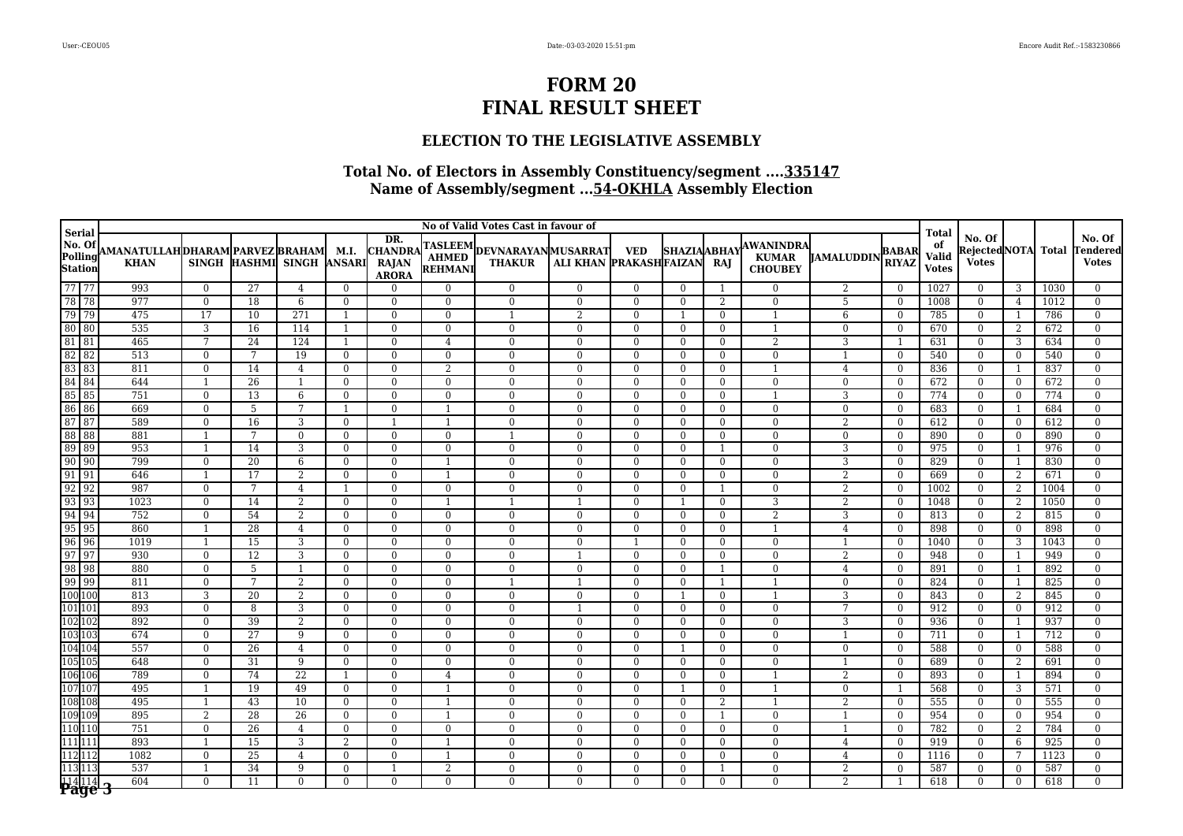### **ELECTION TO THE LEGISLATIVE ASSEMBLY**

|                                               | No of Valid Votes Cast in favour of                  |                          |                 |                           |                                  |                                                       |                              |                                              |                              |                              |                            |                      |                                                    |                   |                              |                                             |                                         |                            |              |                                    |
|-----------------------------------------------|------------------------------------------------------|--------------------------|-----------------|---------------------------|----------------------------------|-------------------------------------------------------|------------------------------|----------------------------------------------|------------------------------|------------------------------|----------------------------|----------------------|----------------------------------------------------|-------------------|------------------------------|---------------------------------------------|-----------------------------------------|----------------------------|--------------|------------------------------------|
| <b>Serial</b><br>No. Of<br>Polling<br>Station | AMANATULLAHDHARAM PARVEZ BRAHAM  M.I.<br><b>KHAN</b> |                          |                 | SINGH HASHMI SINGH ANSARI |                                  | DR.<br><b>CHANDRA</b><br><b>RAJAN</b><br><b>ARORA</b> | REHMANI                      | TASLEEM DEVNARAYAN MUSARRAT<br><b>THAKUR</b> | ALI KHAN PRAKASHFAIZAN       | <b>VED</b>                   | <b>SHAZIAABHAY</b>         | RAJ                  | <b>AWANINDRA</b><br><b>KUMAR</b><br><b>CHOUBEY</b> | <b>JAMALUDDIN</b> | <b>BABAR</b><br><b>RIYAZ</b> | <b>Total</b><br>of<br>Valid<br><b>Votes</b> | No. Of<br>Rejected NOTA<br><b>Votes</b> |                            | <b>Total</b> | No. Of<br>Tendered<br><b>Votes</b> |
| 77 77                                         | 993                                                  | $\overline{0}$           | 27              | 4                         | $\theta$                         | $\Omega$                                              | $\Omega$                     | $\mathbf{0}$                                 | $\mathbf{0}$                 | $\mathbf{0}$                 | $\Omega$                   |                      | $\mathbf{0}$                                       | 2                 | $\Omega$                     | 1027                                        | $\Omega$                                | 3                          | 1030         | $\Omega$                           |
| 78 78                                         | 977                                                  | $\overline{0}$           | 18              | 6                         | $\overline{0}$                   | $\Omega$                                              | $\mathbf{0}$                 | $\mathbf{0}$                                 | $\mathbf{0}$                 | $\Omega$                     | $\Omega$                   | 2                    | $\overline{0}$                                     | 5                 | $\Omega$                     | 1008                                        | $\Omega$                                | $\overline{4}$             | 1012         | $\Omega$                           |
| 79 79                                         | 475                                                  | 17                       | 10              | 271                       |                                  | $\theta$                                              | $\mathbf{0}$                 |                                              | 2                            | $\Omega$                     |                            | $\Omega$             |                                                    | 6                 | $\Omega$                     | 785                                         | $\overline{0}$                          | $\overline{1}$             | 786          | $\Omega$                           |
| 80 80                                         | 535                                                  | 3                        | 16              | 114                       | $\mathbf{1}$                     | $\theta$                                              | $\mathbf{0}$                 | $\Omega$                                     | $\mathbf{0}$                 | $\Omega$                     | $\Omega$                   | $\Omega$             | $\mathbf{1}$                                       | $\Omega$          | $\mathbf{0}$                 | 670                                         | $\overline{0}$                          | 2                          | 672          | $\overline{0}$                     |
| 81 81                                         | 465                                                  | $7\phantom{.0}$          | 24              | 124                       | $\overline{1}$                   | $\theta$                                              | $\overline{4}$               | $\Omega$                                     | $\mathbf{0}$                 | $\mathbf{0}$                 | $\Omega$                   | $\Omega$             | $\overline{2}$                                     | 3                 | $\mathbf{1}$                 | 631                                         | $\mathbf{0}$                            | 3                          | 634          | $\Omega$                           |
| 82 82                                         | 513                                                  | $\overline{0}$           | 7               | 19                        | $\overline{0}$                   | $\theta$                                              | $\overline{0}$               | $\Omega$                                     | $\mathbf{0}$                 | $\Omega$                     | $\Omega$                   | $\Omega$             | $\bf{0}$                                           |                   | $\overline{0}$               | 540                                         | $\mathbf{0}$                            | $\bf{0}$                   | 540          | $\Omega$                           |
| 83 83                                         | 811                                                  | $\overline{0}$           | $\overline{14}$ | $\overline{4}$            | $\mathbf{0}$                     | $\theta$                                              | $\overline{2}$               | $\overline{0}$                               | $\overline{0}$               | $\overline{0}$               | $\theta$                   | $\Omega$             | $\mathbf{1}$                                       | $\overline{4}$    | $\theta$                     | 836                                         | $\overline{0}$                          | $\overline{1}$             | 837          | $\theta$                           |
| 84 84                                         | 644                                                  | $\overline{1}$           | 26              | -1                        | $\overline{0}$                   | $\Omega$                                              | $\mathbf{0}$                 | $\Omega$                                     | $\mathbf{0}$                 | $\mathbf{0}$                 | $\Omega$                   | $\Omega$             | $\bf{0}$                                           | $\mathbf{0}$      | $\mathbf{0}$                 | 672                                         | $\mathbf{0}$                            | $\overline{0}$             | 672          | $\Omega$                           |
| 85 85                                         | 751                                                  | $\mathbf{0}$             | 13              | 6                         | $\mathbf{0}$                     | $\overline{0}$                                        | $\mathbf{0}$                 | $\mathbf{0}$                                 | $\mathbf{0}$                 | $\mathbf{0}$                 | $\mathbf{0}$               | $\Omega$             | $\mathbf{1}$                                       | 3                 | $\mathbf{0}$                 | 774                                         | $\overline{0}$                          | $\bf{0}$                   | 774          | $\Omega$                           |
| 86 86                                         | 669                                                  | $\mathbf{0}$             | $\overline{5}$  | $\overline{7}$            | $\overline{1}$                   | $\theta$                                              | $\mathbf{1}$                 | $\Omega$                                     | $\overline{0}$               | $\overline{0}$               | $\mathbf{0}$               | $\Omega$             | $\overline{0}$                                     | $\mathbf{0}$      | $\mathbf{0}$                 | 683                                         | $\overline{0}$                          | 1                          | 684          | $\theta$                           |
| 87 87<br>88 88                                | 589                                                  | $\bf{0}$<br>$\mathbf{1}$ | 16<br>7         | 3<br>$\Omega$             | $\overline{0}$                   | $\overline{1}$<br>$\Omega$                            | $\mathbf{1}$                 | $\mathbf{0}$                                 | $\mathbf{0}$<br>$\mathbf{0}$ | $\mathbf{0}$<br>$\mathbf{0}$ | $\overline{0}$<br>$\Omega$ | $\Omega$<br>$\Omega$ | $\bf{0}$<br>$\mathbf{0}$                           | 2                 | $\mathbf{0}$<br>$\mathbf{0}$ | 612<br>890                                  | $\bf{0}$                                | $\bf{0}$<br>$\overline{0}$ | 612<br>890   | $\overline{0}$<br>$\Omega$         |
| 89 89                                         | 881<br>953                                           | 1                        | 14              | 3                         | $\overline{0}$<br>$\overline{0}$ | $\overline{0}$                                        | $\mathbf{0}$<br>$\mathbf{0}$ | $\Omega$                                     | $\mathbf{0}$                 | $\overline{0}$               | $\overline{0}$             |                      | $\mathbf{0}$                                       | $\mathbf{0}$<br>3 | $\mathbf{0}$                 | 975                                         | $\mathbf{0}$<br>$\overline{0}$          | -1                         | 976          | $\overline{0}$                     |
| 90 90                                         | 799                                                  | $\mathbf{0}$             | 20              | 6                         | $\overline{0}$                   | $\Omega$                                              | $\mathbf{1}$                 | $\Omega$                                     | $\mathbf{0}$                 | $\mathbf{0}$                 | $\Omega$                   | $\Omega$             | $\mathbf{0}$                                       | 3                 | $\theta$                     | 829                                         | $\overline{0}$                          | 1                          | 830          | $\Omega$                           |
| $91$ 91                                       | 646                                                  | $\mathbf{1}$             | 17              | 2                         | $\bf{0}$                         | $\overline{0}$                                        | $\overline{1}$               | $\Omega$                                     | $\bf{0}$                     | $\mathbf{0}$                 | $\mathbf{0}$               | $\Omega$             | $\bf{0}$                                           | $\overline{2}$    | $\mathbf{0}$                 | 669                                         | $\mathbf{0}$                            | 2                          | 671          | $\Omega$                           |
| $92$ 92                                       | 987                                                  | $\bf{0}$                 | 7               | $\overline{4}$            | 1                                | $\overline{0}$                                        | $\bf{0}$                     | $\bf{0}$                                     | $\bf{0}$                     | $\mathbf{0}$                 | $\overline{0}$             |                      | $\bf{0}$                                           | 2                 | $\mathbf{0}$                 | 1002                                        | $\overline{0}$                          | 2                          | 1004         | $\overline{0}$                     |
| 93 93                                         | 1023                                                 | $\mathbf{0}$             | 14              | 2                         | $\mathbf{0}$                     | $\mathbf{0}$                                          | $\overline{1}$               |                                              |                              | $\mathbf{0}$                 |                            | $\Omega$             | 3                                                  | $\overline{2}$    | $\mathbf{0}$                 | 1048                                        | $\overline{0}$                          | 2                          | 1050         | $\theta$                           |
| 94 94                                         | 752                                                  | $\mathbf{0}$             | 54              | $\overline{2}$            | $\Omega$                         | $\Omega$                                              | $\theta$                     | $\Omega$                                     | $\mathbf{0}$                 | $\Omega$                     | $\Omega$                   | $\Omega$             | 2                                                  | 3                 | $\Omega$                     | 813                                         | $\overline{0}$                          | 2                          | 815          | $\overline{0}$                     |
| 95 95                                         | 860                                                  | 1                        | 28              | $\overline{4}$            | $\theta$                         | $\Omega$                                              | $\theta$                     | $\Omega$                                     | $\Omega$                     | $\Omega$                     | $\Omega$                   | $\Omega$             | $\mathbf{1}$                                       | $\overline{4}$    | $\theta$                     | 898                                         | $\Omega$                                | $\overline{0}$             | 898          | $\Omega$                           |
| 96 96                                         | 1019                                                 | $\mathbf{1}$             | 15              | 3                         | $\theta$                         | $\Omega$                                              | $\theta$                     | $\Omega$                                     | $\mathbf{0}$                 | $\mathbf{1}$                 | $\Omega$                   | $\Omega$             | $\mathbf{0}$                                       |                   | $\Omega$                     | 1040                                        | $\mathbf{0}$                            | 3                          | 1043         | $\Omega$                           |
| $97$ 97                                       | 930                                                  | $\overline{0}$           | 12              | 3                         | $\theta$                         | $\Omega$                                              | $\theta$                     | $\Omega$                                     | $\overline{1}$               | $\Omega$                     | $\Omega$                   | $\Omega$             | $\theta$                                           | 2                 | $\Omega$                     | 948                                         | $\Omega$                                | $\overline{1}$             | 949          | $\Omega$                           |
| 98 98                                         | 880                                                  | $\mathbf{0}$             | 5               |                           | $\overline{0}$                   | $\Omega$                                              | $\mathbf{0}$                 | $\Omega$                                     | $\mathbf{0}$                 | $\mathbf{0}$                 | $\Omega$                   |                      | $\overline{0}$                                     | 4                 | $\Omega$                     | 891                                         | $\mathbf{0}$                            | $\overline{1}$             | 892          | $\Omega$                           |
| 99 99                                         | 811                                                  | $\mathbf{0}$             | $7\phantom{.0}$ | 2                         | $\mathbf{0}$                     | $\overline{0}$                                        | $\mathbf{0}$                 | $\overline{1}$                               | $\mathbf{1}$                 | $\mathbf{0}$                 | $\overline{0}$             | $\overline{1}$       | $\mathbf{1}$                                       | $\mathbf{0}$      | $\mathbf{0}$                 | 824                                         | $\overline{0}$                          | 1                          | 825          | $\theta$                           |
| 100 100                                       | 813                                                  | 3                        | 20              | 2                         | $\Omega$                         | $\Omega$                                              | $\theta$                     | $\Omega$                                     | $\mathbf{0}$                 | $\Omega$                     |                            | $\Omega$             | $\mathbf{1}$                                       | 3                 | $\mathbf{0}$                 | 843                                         | $\overline{0}$                          | 2                          | 845          | $\Omega$                           |
| 101 101                                       | 893                                                  | $\mathbf{0}$             | 8               | 3                         | $\overline{0}$                   | $\theta$                                              | $\mathbf{0}$                 | $\Omega$                                     |                              | $\Omega$                     | $\Omega$                   | $\Omega$             | $\overline{0}$                                     | 7                 | $\mathbf{0}$                 | 912                                         | $\mathbf{0}$                            | $\overline{0}$             | 912          | $\Omega$                           |
| 102 102                                       | 892                                                  | $\mathbf{0}$             | $\overline{39}$ | 2                         | $\overline{0}$                   | $\theta$                                              | $\mathbf{0}$                 | $\Omega$                                     | $\mathbf{0}$                 | $\Omega$                     | $\theta$                   | $\Omega$             | $\mathbf{0}$                                       | 3                 | $\theta$                     | 936                                         | $\Omega$                                | $\overline{1}$             | 937          | $\Omega$                           |
| 103 103                                       | 674                                                  | $\mathbf{0}$             | 27              | 9                         | $\overline{0}$                   | $\Omega$                                              | $\mathbf{0}$                 | $\Omega$                                     | $\mathbf{0}$                 | $\mathbf{0}$                 | $\Omega$                   | $\Omega$             | $\mathbf{0}$                                       |                   | $\mathbf{0}$                 | 711                                         | $\mathbf{0}$                            | $\overline{1}$             | 712          | $\Omega$                           |
| 104 104                                       | 557                                                  | $\mathbf{0}$             | 26              | $\overline{4}$            | $\overline{0}$                   | $\overline{0}$                                        | $\mathbf{0}$                 | $\Omega$                                     | $\mathbf{0}$                 | $\mathbf{0}$                 | -1                         | $\Omega$             | $\mathbf{0}$                                       | $\overline{0}$    | $\mathbf{0}$                 | 588                                         | $\bf{0}$                                | $\overline{0}$             | 588          | $\overline{0}$                     |
| 105 105                                       | 648                                                  | $\mathbf{0}$             | 31              | 9                         | $\overline{0}$                   | $\overline{0}$                                        | $\mathbf{0}$                 | $\theta$                                     | $\boldsymbol{0}$             | $\mathbf{0}$                 | $\mathbf{0}$               | $\Omega$             | $\mathbf{0}$                                       |                   | $\mathbf{0}$                 | 689                                         | $\mathbf{0}$                            | $\overline{2}$             | 691          | $\theta$                           |
| 106 106                                       | 789                                                  | $\mathbf{0}$             | 74              | 22                        | $\mathbf{1}$                     | $\theta$                                              | $\overline{4}$               | $\mathbf{0}$                                 | $\mathbf{0}$                 | $\mathbf{0}$                 | $\mathbf{0}$               | $\Omega$             | $\mathbf{1}$                                       | $\overline{2}$    | $\overline{0}$               | 893                                         | $\bf{0}$                                | 1                          | 894          | $\overline{0}$                     |
| 107 107                                       | 495                                                  | $\overline{1}$           | 19              | 49                        | $\overline{0}$                   | $\Omega$                                              | $\mathbf{1}$                 | $\Omega$                                     | $\mathbf{0}$                 | $\mathbf{0}$                 | -1                         | $\Omega$             | $\mathbf{1}$                                       | $\mathbf{0}$      | 1                            | 568                                         | $\overline{0}$                          | 3                          | 571          | $\Omega$                           |
| 108 108                                       | 495                                                  | 1                        | 43              | 10                        | $\overline{0}$                   | $\theta$                                              | 1                            | $\theta$                                     | $\bf{0}$                     | $\mathbf{0}$                 | $\overline{0}$             | 2                    | $\mathbf{1}$                                       | $\overline{2}$    | $\bf{0}$                     | 555                                         | $\bf{0}$                                | $\mathbf{0}$               | 555          | $\overline{0}$                     |
| 109 109                                       | 895                                                  | 2                        | 28              | 26                        | $\overline{0}$                   | $\overline{0}$                                        | 1                            | $\Omega$                                     | $\mathbf{0}$                 | $\mathbf{0}$                 | $\Omega$                   | $\mathbf{1}$         | $\overline{0}$                                     | 1                 | $\mathbf{0}$                 | 954                                         | $\mathbf{0}$                            | $\overline{0}$             | 954          | $\Omega$                           |
| 110 110                                       | 751                                                  | $\mathbf{0}$             | 26              | 4                         | $\overline{0}$                   | $\overline{0}$                                        | $\mathbf{0}$                 | $\Omega$                                     | $\bf{0}$                     | $\mathbf{0}$                 | $\mathbf{0}$               | $\mathbf{0}$         | $\overline{0}$                                     | 1                 | $\mathbf{0}$                 | 782                                         | $\mathbf{0}$                            | 2                          | 784          | $\mathbf{0}$                       |
| 111 111                                       | 893                                                  | 1                        | 15              | 3                         | 2                                | $\overline{0}$                                        | $\mathbf{1}$                 | $\mathbf{0}$                                 | $\mathbf{0}$                 | $\mathbf{0}$                 | $\mathbf{0}$               | $\Omega$             | $\mathbf{0}$                                       | $\overline{4}$    | $\mathbf{0}$                 | 919                                         | $\overline{0}$                          | 6                          | 925          | $\overline{0}$                     |
| 112 112                                       | 1082                                                 | $\mathbf{0}$             | 25              | $\overline{4}$            | $\overline{0}$                   | $\overline{0}$                                        | 1                            | $\Omega$                                     | $\mathbf{0}$                 | $\mathbf{0}$                 | $\mathbf{0}$               | $\Omega$             | $\overline{0}$                                     | $\overline{4}$    | $\mathbf{0}$                 | 1116                                        | $\mathbf{0}$                            | 7                          | 1123         | $\theta$                           |
| 113 113                                       | 537                                                  | 1                        | 34              | 9                         | $\overline{0}$                   | -1                                                    | 2                            | $\mathbf{0}$                                 | $\mathbf{0}$                 | $\mathbf{0}$                 | $\Omega$                   |                      | $\bf{0}$                                           | 2                 | $\mathbf{0}$                 | 587                                         | $\mathbf{0}$                            | $\overline{0}$             | 587          | $\Omega$                           |
| $\frac{114}{114}$                             | 604                                                  | $\Omega$                 | 11              | $\Omega$                  | $\theta$                         | $\Omega$                                              | $\Omega$                     | $\Omega$                                     | $\Omega$                     | $\Omega$                     | $\Omega$                   | $\Omega$             | $\Omega$                                           | 2                 |                              | 618                                         | $\Omega$                                | $\Omega$                   | 618          |                                    |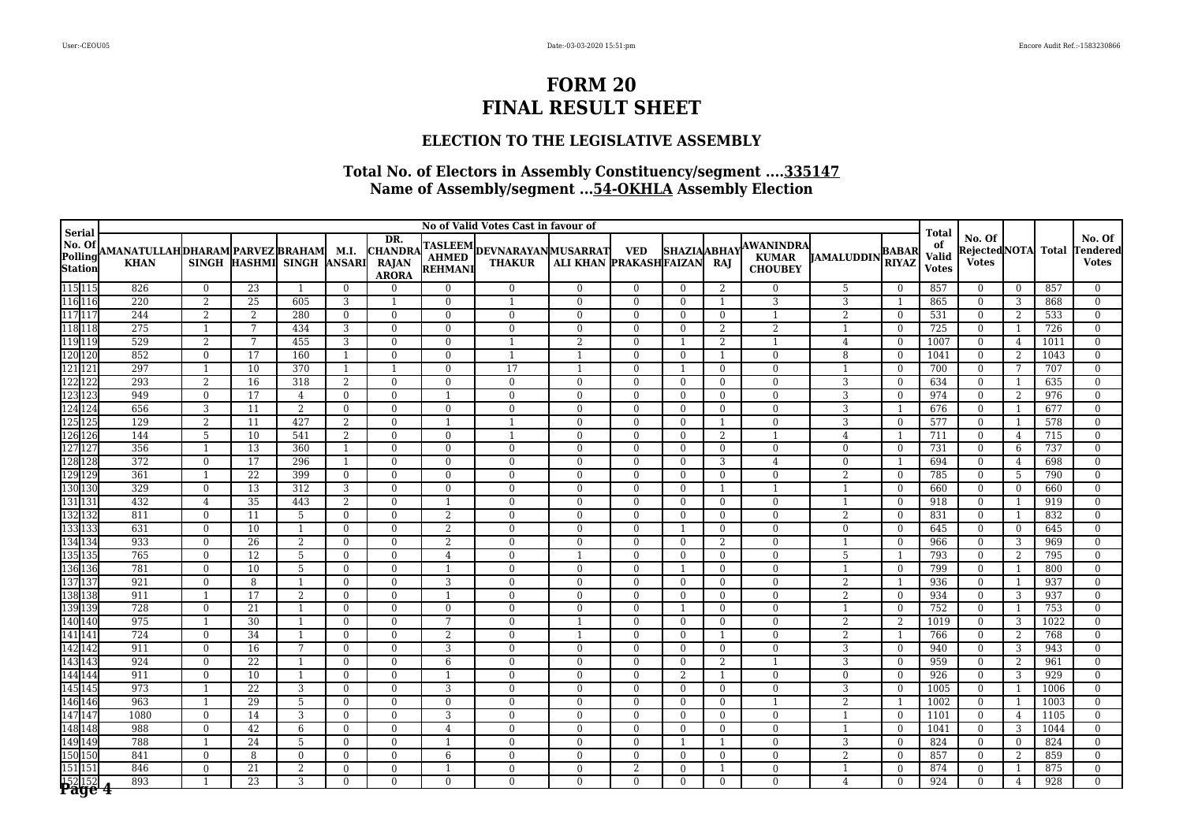### **ELECTION TO THE LEGISLATIVE ASSEMBLY**

|                                       | No of Valid Votes Cast in favour of<br><b>Serial</b> |                                |                       |                           |                |                                                       |                                |                                              |                            |                            |                              |                    |                                                    |                                | <b>Total</b>                   |                             |                                         |                      |              |                                    |
|---------------------------------------|------------------------------------------------------|--------------------------------|-----------------------|---------------------------|----------------|-------------------------------------------------------|--------------------------------|----------------------------------------------|----------------------------|----------------------------|------------------------------|--------------------|----------------------------------------------------|--------------------------------|--------------------------------|-----------------------------|-----------------------------------------|----------------------|--------------|------------------------------------|
| No. Of<br>Polling<br>Station          | AMANATULLAHDHARAM PARVEZ BRAHAM  M.I.<br><b>KHAN</b> |                                |                       | SINGH HASHMI SINGH ANSARI |                | DR.<br><b>CHANDRA</b><br><b>RAJAN</b><br><b>ARORA</b> | <b>REHMANI</b>                 | TASLEEM DEVNARAYAN MUSARRAT<br><b>THAKUR</b> | ALI KHAN PRAKASHFAIZAN     | <b>VED</b>                 | <b>SHAZIAABHAY</b>           | RAJ                | <b>AWANINDRA</b><br><b>KUMAR</b><br><b>CHOUBEY</b> | <b>JAMALUDDIN</b>              | <b>BABAR</b><br><b>RIYAZ</b>   | of<br>Valid<br><b>Votes</b> | No. Of<br>Rejected NOTA<br><b>Votes</b> |                      | <b>Total</b> | No. Of<br>Tendered<br><b>Votes</b> |
| 115 115<br>116 116                    | 826                                                  | $\mathbf{0}$                   | 23                    | $\overline{1}$            | $\theta$       | $\Omega$                                              | $\Omega$                       | $\Omega$                                     | $\mathbf{0}$               | $\mathbf{0}$               | $\theta$                     | 2                  | $\Omega$                                           | 5                              | $\theta$                       | 857                         | $\mathbf{0}$                            | $\theta$             | 857          | $\Omega$                           |
|                                       | 220                                                  | 2                              | 25                    | 605                       | 3              | $\overline{1}$                                        | $\Omega$                       | $\overline{1}$                               | $\overline{0}$             | $\Omega$                   | $\theta$                     | $\overline{1}$     | 3                                                  | 3                              | $\overline{1}$                 | 865                         | $\mathbf{0}$                            | 3                    | 868          | $\mathbf{0}$                       |
| 117 117                               | 244                                                  | 2                              | 2                     | 280                       | $\mathbf{0}$   | $\mathbf{0}$                                          | $\Omega$                       | $\theta$                                     | $\mathbf{0}$               | $\mathbf{0}$               | $\theta$                     | $\mathbf{0}$       | $\mathbf{1}$                                       | $\overline{2}$                 | $\theta$                       | 531                         | $\mathbf{0}$                            | 2                    | 533          | $\overline{0}$                     |
| 118 118                               | 275                                                  | 1                              | 7                     | 434                       | 3              | $\mathbf{0}$                                          | $\Omega$                       | $\theta$                                     | $\mathbf{0}$               | $\mathbf{0}$               | $\theta$                     | 2                  | 2                                                  | $\mathbf{1}$                   | $\theta$                       | 725                         | $\mathbf{0}$                            | $\overline{1}$       | 726          | $\overline{0}$                     |
| 119 119                               | 529                                                  | 2                              | 7                     | 455                       | 3              | $\mathbf{0}$                                          | $\Omega$                       | $\overline{1}$                               | $\overline{2}$             | $\mathbf{0}$               |                              | 2                  | $\mathbf{1}$                                       | 4                              | $\theta$                       | 1007                        | $\overline{0}$                          | $\overline{4}$       | 1011         | $\theta$                           |
| 120 120                               | 852                                                  | $\overline{0}$                 | 17                    | 160                       | $\mathbf{1}$   | $\Omega$                                              | $\Omega$                       |                                              |                            | $\theta$                   | $\theta$                     | -1                 | $\mathbf{0}$                                       | 8                              | $\theta$                       | 1041                        | $\bf{0}$                                | 2                    | 1043         | $\overline{0}$                     |
| 121 121                               | 297                                                  | $\overline{1}$                 | 10                    | 370                       | $\mathbf{1}$   | $\overline{1}$                                        | $\Omega$                       | 17                                           | $\overline{1}$             | $\theta$                   | $\overline{1}$               | $\theta$           | $\theta$                                           | $\mathbf{1}$                   | $\theta$                       | 700                         | $\mathbf{0}$                            | $7\phantom{.0}$      | 707          | $\overline{0}$                     |
| 122 122                               | 293                                                  | 2                              | 16                    | 318                       | 2              | $\overline{0}$                                        | $\mathbf{0}$                   | $\mathbf{0}$                                 | $\mathbf{0}$               | $\mathbf{0}$               | $\Omega$                     | $\mathbf{0}$       | $\mathbf{0}$                                       | 3                              | $\theta$                       | 634                         | $\mathbf{0}$                            |                      | 635          | $\mathbf{0}$                       |
| 123 123                               | 949                                                  | $\mathbf{0}$                   | 17                    | 4                         | $\mathbf{0}$   | $\overline{0}$                                        | 1                              | $\mathbf{0}$                                 | $\mathbf{0}$               | $\mathbf{0}$               | $\mathbf{0}$                 | $\mathbf{0}$       | $\bf{0}$                                           | 3                              | $\overline{0}$                 | 974                         | $\mathbf{0}$                            | 2                    | 976          | $\overline{0}$                     |
| 124 124                               | 656                                                  | 3                              | $\overline{11}$       | $\overline{2}$            | $\mathbf{0}$   | $\mathbf{0}$                                          | $\Omega$                       | $\theta$                                     | $\overline{0}$             | $\overline{0}$             | $\theta$                     | $\mathbf{0}$       | $\theta$                                           | $\overline{3}$                 | $\overline{1}$                 | 676                         | $\bf{0}$                                | 1                    | 677          | $\overline{0}$                     |
| 125 125                               | 129                                                  | $\overline{2}$                 | 11                    | 427                       | 2              | $\mathbf{0}$                                          | $\overline{1}$                 | $\overline{1}$<br>$\overline{1}$             | $\overline{0}$             | $\overline{0}$             | $\theta$                     | -1                 | $\mathbf{0}$                                       | 3                              | $\overline{0}$                 | 577                         | $\bf{0}$                                | $\overline{1}$       | 578          | $\overline{0}$                     |
| 126 126                               | 144                                                  | 5                              | 10                    | 541                       | 2              | $\mathbf{0}$                                          | $\Omega$                       |                                              | $\overline{0}$             | $\overline{0}$             | $\theta$                     | 2                  | $\mathbf{1}$                                       | 4                              |                                | 711                         | $\overline{0}$                          | 4                    | 715          | $\theta$                           |
| 127 127<br>128 128                    | 356                                                  | $\mathbf{1}$                   | 13<br>$\overline{17}$ | 360                       | 1              | $\mathbf{0}$                                          | $\mathbf{0}$                   | $\mathbf{0}$                                 | $\overline{0}$             | $\overline{0}$             | $\theta$                     | $\mathbf{0}$       | $\mathbf{0}$                                       | $\mathbf{0}$                   | $\mathbf{0}$                   | 731                         | $\mathbf{0}$                            | 6                    | 737          | $\bf{0}$                           |
|                                       | 372<br>361                                           | $\mathbf{0}$                   |                       | 296                       | $\mathbf{1}$   | $\Omega$                                              | $\Omega$                       | $\Omega$                                     | $\mathbf{0}$               | $\mathbf{0}$               | $\theta$                     | 3                  | $\overline{4}$                                     | $\mathbf{0}$                   | -1                             | 694                         | $\overline{0}$                          | 4                    | 698          | $\mathbf{0}$                       |
| 129 129<br>130 130                    | 329                                                  | $\overline{1}$<br>$\mathbf{0}$ | 22<br>13              | 399<br>312                | $\bf{0}$<br>3  | $\mathbf{0}$<br>$\overline{0}$                        | $\overline{0}$<br>$\mathbf{0}$ | $\mathbf{0}$<br>$\mathbf{0}$                 | $\overline{0}$<br>$\bf{0}$ | $\overline{0}$<br>$\bf{0}$ | $\mathbf{0}$<br>$\mathbf{0}$ | $\mathbf{0}$       | $\bf{0}$<br>$\mathbf{1}$                           | $\overline{2}$<br>$\mathbf{1}$ | $\mathbf{0}$<br>$\overline{0}$ | 785<br>660                  | $\overline{0}$<br>$\bf{0}$              | 5                    | 790<br>660   | $\mathbf{0}$<br>$\bf{0}$           |
| 131 131                               | 432                                                  |                                | $\overline{35}$       | 443                       | 2              |                                                       | $\overline{1}$                 | $\theta$                                     | $\overline{0}$             | $\overline{0}$             | $\theta$                     | -1<br>$\mathbf{0}$ | $\mathbf{0}$                                       |                                |                                | 918                         | $\mathbf{0}$                            | $\bf{0}$             | 919          | $\mathbf{0}$                       |
| 132 132                               | 811                                                  | $\overline{4}$<br>$\Omega$     | 11                    | 5                         | $\mathbf{0}$   | $\overline{0}$<br>$\Omega$                            | 2                              | $\Omega$                                     | $\Omega$                   | $\Omega$                   | $\theta$                     | $\Omega$           | $\mathbf{0}$                                       | 2                              | $\mathbf{0}$<br>$\Omega$       | 831                         | $\overline{0}$                          | $\overline{1}$<br>-1 | 832          | $\mathbf{0}$                       |
| 133 133                               | 631                                                  | $\Omega$                       | 10                    | $\mathbf{1}$              | $\Omega$       | $\Omega$                                              | 2                              | $\theta$                                     | $\Omega$                   | $\Omega$                   | -1                           | $\Omega$           | $\Omega$                                           | $\mathbf{0}$                   | $\Omega$                       | 645                         | $\overline{0}$                          | $\theta$             | 645          | $\Omega$                           |
| 134 134                               | 933                                                  | $\Omega$                       | 26                    | 2                         | $\mathbf{0}$   | $\Omega$                                              | 2                              | $\Omega$                                     | $\Omega$                   | $\Omega$                   | $\theta$                     | 2                  | $\Omega$                                           |                                | $\Omega$                       | 966                         | $\overline{0}$                          | 3                    | 969          | $\overline{0}$                     |
| 135 135                               | 765                                                  | $\Omega$                       | 12                    | 5                         | $\theta$       | $\theta$                                              | $\overline{4}$                 | $\Omega$                                     | $\overline{1}$             | $\Omega$                   | $\theta$                     | $\Omega$           | $\Omega$                                           | 5                              | $\overline{1}$                 | 793                         | $\overline{0}$                          | 2                    | 795          | $\mathbf{0}$                       |
| 136 136                               | 781                                                  | $\Omega$                       | 10                    | 5                         | $\overline{0}$ | $\overline{0}$                                        | $\mathbf{1}$                   | $\Omega$                                     | $\mathbf{0}$               | $\mathbf{0}$               |                              | $\mathbf{0}$       | $\mathbf{0}$                                       | $\mathbf{1}$                   | $\theta$                       | 799                         | $\overline{0}$                          |                      | 800          | $\Omega$                           |
| 137 137                               | 921                                                  | $\mathbf{0}$                   | 8                     | $\overline{1}$            | $\mathbf{0}$   | $\mathbf{0}$                                          | 3                              | $\mathbf{0}$                                 | $\mathbf{0}$               | $\mathbf{0}$               | $\mathbf{0}$                 | $\mathbf{0}$       | $\mathbf{0}$                                       | 2                              | $\overline{1}$                 | 936                         | $\mathbf{0}$                            | 1                    | 937          | $\overline{0}$                     |
| 138 138                               | 911                                                  | $\overline{1}$                 | 17                    | 2                         | $\Omega$       | $\Omega$                                              | $\overline{1}$                 | $\Omega$                                     | $\theta$                   | $\theta$                   | $\Omega$                     | $\mathbf{0}$       | $\theta$                                           | 2                              | $\theta$                       | 934                         | $\overline{0}$                          | 3                    | 937          | $\Omega$                           |
| 139 139                               | 728                                                  | $\mathbf{0}$                   | 21                    | -1                        | $\mathbf{0}$   | $\Omega$                                              | $\Omega$                       | $\Omega$                                     | $\mathbf{0}$               | $\theta$                   | -1                           | $\theta$           | $\mathbf{0}$                                       |                                | $\theta$                       | 752                         | $\bf{0}$                                |                      | 753          | $\overline{0}$                     |
| 140 140                               | 975                                                  | $\overline{1}$                 | 30                    |                           | $\mathbf{0}$   | $\theta$                                              | 7                              | $\theta$                                     | $\overline{1}$             | $\theta$                   | $\theta$                     | $\theta$           | $\theta$                                           | 2                              | 2                              | 1019                        | $\overline{0}$                          | 3                    | 1022         | $\mathbf{0}$                       |
| 141 141                               | 724                                                  | $\mathbf{0}$                   | 34                    | $\overline{1}$            | $\mathbf{0}$   | $\mathbf{0}$                                          | 2                              | $\Omega$                                     | $\overline{1}$             | $\mathbf{0}$               | $\theta$                     | $\mathbf{1}$       | $\mathbf{0}$                                       | 2                              | $\mathbf{1}$                   | 766                         | $\mathbf{0}$                            | 2                    | 768          | $\overline{0}$                     |
| 142 142                               | 911                                                  | $\mathbf{0}$                   | 16                    | $\overline{7}$            | $\mathbf{0}$   | $\mathbf{0}$                                          | 3                              | $\mathbf{0}$                                 | $\mathbf{0}$               | $\overline{0}$             | $\theta$                     | $\mathbf{0}$       | $\mathbf{0}$                                       | $\overline{3}$                 | $\mathbf{0}$                   | 940                         | $\mathbf{0}$                            | 3                    | 943          | $\overline{0}$                     |
| 143 143                               | 924                                                  | $\mathbf{0}$                   | 22                    | -1                        | $\mathbf{0}$   | $\mathbf{0}$                                          | 6                              | $\mathbf{0}$                                 | $\mathbf{0}$               | $\mathbf{0}$               | $\mathbf{0}$                 | $\overline{2}$     | $\mathbf{1}$                                       | 3                              | $\theta$                       | 959                         | $\mathbf 0$                             | $\overline{2}$       | 961          | $\mathbf{0}$                       |
| 144 144                               | 911                                                  | $\mathbf{0}$                   | 10                    | -1                        | $\mathbf{0}$   | $\overline{0}$                                        | $\overline{1}$                 | $\mathbf{0}$                                 | $\mathbf{0}$               | $\mathbf{0}$               | 2                            | $\mathbf{1}$       | $\bf{0}$                                           | $\mathbf{0}$                   | $\mathbf{0}$                   | 926                         | $\bf{0}$                                | 3                    | 929          | $\overline{0}$                     |
| 145 145                               | 973                                                  | $\overline{1}$                 | 22                    | 3                         | $\Omega$       | $\theta$                                              | 3                              | $\Omega$                                     | $\mathbf{0}$               | $\theta$                   | $\theta$                     | $\mathbf{0}$       | $\theta$                                           | 3                              | $\theta$                       | 1005                        | $\bf{0}$                                | 1                    | 1006         | $\mathbf{0}$                       |
| 146 146                               | 963                                                  | 1                              | 29                    | 5                         | $\bf{0}$       | $\overline{0}$                                        | $\mathbf{0}$                   | $\mathbf{0}$                                 | $\overline{0}$             | $\overline{0}$             | $\theta$                     | $\mathbf{0}$       | 1                                                  | $\overline{2}$                 |                                | 1002                        | $\bf{0}$                                | $\mathbf{1}$         | 1003         | $\bf{0}$                           |
| 147 147                               | 1080                                                 | $\overline{0}$                 | 14                    | 3                         | $\mathbf{0}$   | $\overline{0}$                                        | 3                              | $\Omega$                                     | $\mathbf{0}$               | $\mathbf{0}$               | $\theta$                     | $\mathbf{0}$       | $\mathbf{0}$                                       | $\mathbf{1}$                   | $\theta$                       | 1101                        | $\overline{0}$                          | 4                    | 1105         | $\mathbf{0}$                       |
| 148 148                               | 988                                                  | $\mathbf{0}$                   | 42                    | 6                         | $\mathbf{0}$   | $\mathbf{0}$                                          | 4                              | $\mathbf{0}$                                 | $\mathbf{0}$               | $\mathbf{0}$               | $\mathbf{0}$                 | $\overline{0}$     | $\mathbf{0}$                                       | $\mathbf{1}$                   | $\mathbf{0}$                   | 1041                        | $\bf{0}$                                | 3                    | 1044         | $\bf{0}$                           |
| 149 149                               | 788                                                  | -1                             | 24                    | 5                         | $\overline{0}$ | $\overline{0}$                                        | 1                              | $\mathbf{0}$                                 | $\mathbf{0}$               | $\mathbf{0}$               | -1                           | $\mathbf{1}$       | $\mathbf{0}$                                       | 3                              | $\mathbf{0}$                   | 824                         | $\mathbf{0}$                            | $\mathbf{0}$         | 824          | $\overline{0}$                     |
| 150 150                               | 841                                                  | $\mathbf{0}$                   | 8                     | $\overline{0}$            | $\mathbf{0}$   | $\mathbf{0}$                                          | 6                              | $\mathbf{0}$                                 | $\overline{0}$             | $\overline{0}$             | $\mathbf{0}$                 | $\mathbf{0}$       | $\mathbf{0}$                                       | $\overline{2}$                 | $\mathbf{0}$                   | 857                         | $\overline{0}$                          | 2                    | 859          | $\overline{0}$                     |
| 151 151                               | 846                                                  | $\overline{0}$                 | 21                    | 2                         | $\mathbf{0}$   | $\Omega$                                              | 1                              | $\mathbf{0}$                                 | $\mathbf{0}$               | 2                          | $\theta$                     | -1                 | $\overline{0}$                                     | 1                              | $\Omega$                       | 874                         | $\mathbf{0}$                            | $\mathbf{1}$         | 875          | $\mathbf{0}$                       |
| $\frac{152}{152}$ $\frac{152}{152}$ 4 | 893                                                  |                                | 23                    | 3                         | $\Omega$       | $\Omega$                                              | $\Omega$                       | $\Omega$                                     | $\Omega$                   | $\Omega$                   | $\Omega$                     | $\Omega$           | $\Omega$                                           | $\overline{4}$                 | $\Omega$                       | 924                         | $\Omega$                                | $\overline{4}$       | 928          | $\Omega$                           |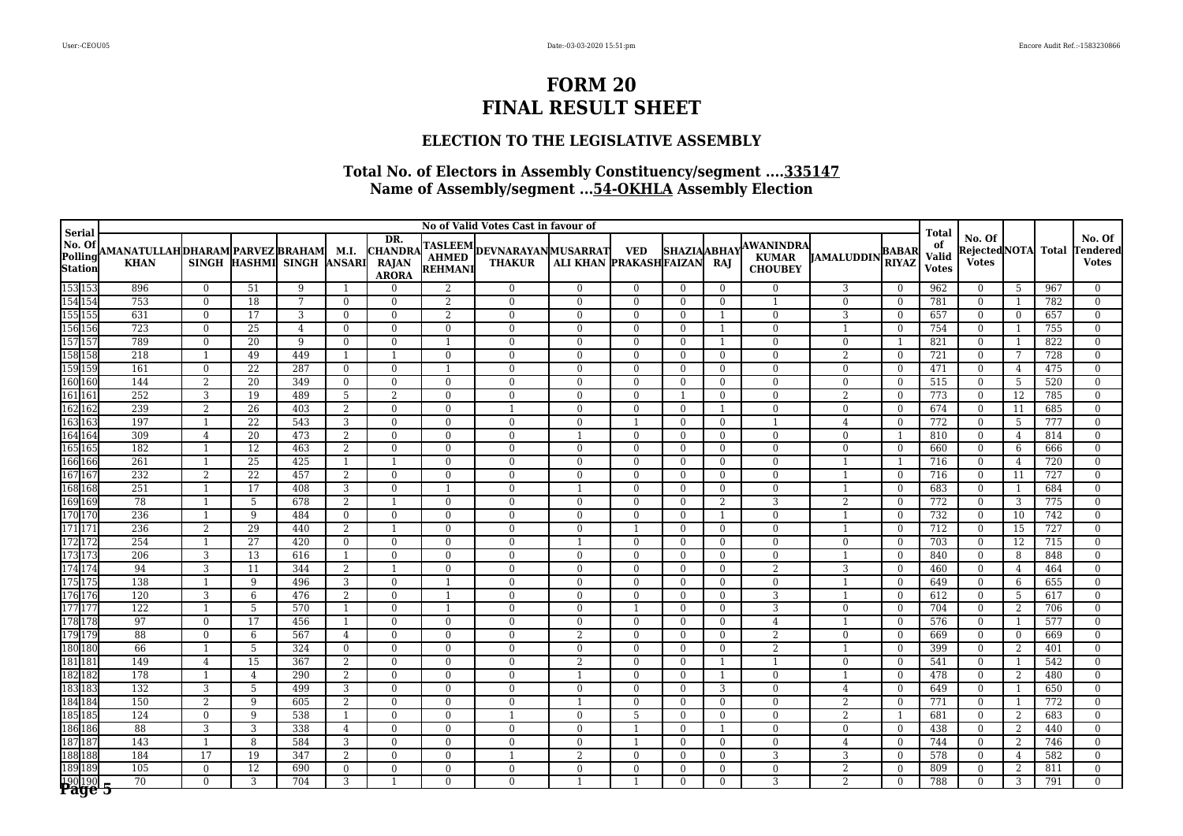### **ELECTION TO THE LEGISLATIVE ASSEMBLY**

|                                               | No of Valid Votes Cast in favour of                  |                                |                       |                           |                |                                                       |                              |                                              |                                |                                |                            |                      |                                                    |                                  |                              |                                             |                                         |                     |              |                                    |
|-----------------------------------------------|------------------------------------------------------|--------------------------------|-----------------------|---------------------------|----------------|-------------------------------------------------------|------------------------------|----------------------------------------------|--------------------------------|--------------------------------|----------------------------|----------------------|----------------------------------------------------|----------------------------------|------------------------------|---------------------------------------------|-----------------------------------------|---------------------|--------------|------------------------------------|
| <b>Serial</b><br>No. Of<br>Polling<br>Station | AMANATULLAHDHARAM PARVEZ BRAHAM  M.I.<br><b>KHAN</b> |                                |                       | SINGH HASHMI SINGH ANSARI |                | DR.<br><b>CHANDRA</b><br><b>RAJAN</b><br><b>ARORA</b> | REHMANI                      | TASLEEM DEVNARAYAN MUSARRAT<br><b>THAKUR</b> | ALI KHAN PRAKASHFAIZAN         | <b>VED</b>                     | <b>SHAZIAABHAY</b>         | RAJ                  | <b>AWANINDRA</b><br><b>KUMAR</b><br><b>CHOUBEY</b> | <b>JAMALUDDIN</b>                | <b>BABAR</b><br><b>RIYAZ</b> | <b>Total</b><br>of<br>Valid<br><b>Votes</b> | No. Of<br>Rejected NOTA<br><b>Votes</b> |                     | <b>Total</b> | No. Of<br>Tendered<br><b>Votes</b> |
| 153 153<br>154 154                            | 896                                                  | $\overline{0}$                 | 51                    | 9                         | $\mathbf{1}$   | $\Omega$                                              | 2                            | $\theta$                                     | $\mathbf{0}$                   | $\overline{0}$                 | $\Omega$                   | $\Omega$             | $\mathbf{0}$                                       | 3                                | $\Omega$                     | 962                                         | $\Omega$                                | -5                  | 967          | $\Omega$                           |
|                                               | 753                                                  | $\theta$                       | 18                    | 7                         | $\overline{0}$ | $\Omega$                                              | 2                            | $\mathbf{0}$                                 | $\overline{0}$                 | $\Omega$                       | $\Omega$                   | $\Omega$             | $\mathbf{1}$                                       | $\mathbf{0}$                     | $\Omega$                     | 781                                         | $\Omega$                                | 1                   | 782          | $\Omega$                           |
| 155 155                                       | 631                                                  | $\mathbf{0}$                   | 17                    | 3                         | $\overline{0}$ | $\theta$                                              | 2                            | $\Omega$                                     | $\mathbf{0}$                   | $\Omega$                       | $\Omega$                   |                      | $\mathbf{0}$                                       | 3                                | $\Omega$                     | 657                                         | $\overline{0}$                          | $\overline{0}$      | 657          | $\Omega$                           |
| 156 156                                       | 723                                                  | $\mathbf{0}$                   | 25                    | $\overline{4}$            | $\overline{0}$ | $\theta$                                              | $\mathbf{0}$                 | $\Omega$                                     | $\theta$                       | $\Omega$                       | $\theta$                   |                      | $\mathbf{0}$                                       |                                  | $\mathbf{0}$                 | 754                                         | $\overline{0}$                          | $\overline{1}$      | 755          | $\overline{0}$                     |
| 157 157                                       | 789                                                  | $\mathbf{0}$                   | 20                    | 9                         | $\overline{0}$ | $\theta$                                              | $\mathbf{1}$                 | $\Omega$                                     | $\mathbf{0}$                   | $\mathbf{0}$                   | $\Omega$                   |                      | $\mathbf{0}$                                       | $\mathbf{0}$                     | $\mathbf{1}$                 | 821                                         | $\mathbf{0}$                            | $\overline{1}$      | 822          | $\Omega$                           |
| 158 158                                       | 218                                                  | $\mathbf{1}$                   | 49                    | 449                       | $\mathbf{1}$   |                                                       | $\overline{0}$               | $\Omega$                                     | $\mathbf{0}$                   | $\Omega$                       | $\Omega$                   | $\Omega$             | $\mathbf{0}$                                       | $\overline{2}$                   | $\overline{0}$               | 721                                         | $\overline{0}$                          | 7                   | 728          | $\Omega$                           |
| 159 159                                       | 161                                                  | $\overline{0}$                 | $\overline{22}$       | 287                       | $\overline{0}$ | $\theta$                                              | $\mathbf{1}$                 | $\overline{0}$                               | $\overline{0}$                 | $\overline{0}$                 | $\theta$                   | $\Omega$             | $\overline{0}$                                     | $\theta$                         | $\theta$                     | 471                                         | $\overline{0}$                          | $\overline{4}$      | 475          | $\theta$                           |
| 160 160                                       | 144                                                  | 2                              | 20                    | 349                       | $\mathbf{0}$   | $\overline{0}$                                        | $\mathbf{0}$                 | $\Omega$                                     | $\mathbf{0}$                   | $\theta$                       | $\mathbf{0}$               | $\Omega$             | $\overline{0}$                                     | $\mathbf{0}$                     | $\mathbf{0}$                 | 515                                         | $\mathbf{0}$                            | 5                   | 520          | $\Omega$                           |
| 161 161                                       | 252<br>239                                           | 3                              | 19<br>$\overline{26}$ | 489                       | 5              | 2<br>$\theta$                                         | $\mathbf{0}$                 | $\mathbf{0}$<br>$\overline{1}$               | $\mathbf{0}$<br>$\overline{0}$ | $\mathbf{0}$<br>$\overline{0}$ |                            | $\Omega$             | $\bf{0}$                                           | $\overline{2}$                   | $\mathbf{0}$                 | 773                                         | $\overline{0}$                          | <sup>12</sup>       | 785<br>685   | $\Omega$                           |
| 162 162                                       | 197                                                  | $\overline{2}$<br>$\mathbf{1}$ |                       | 403<br>543                | $\overline{2}$ |                                                       | $\mathbf{0}$                 |                                              | $\theta$                       | $\mathbf{1}$                   | $\mathbf{0}$               |                      | $\mathbf{0}$                                       | $\mathbf{0}$                     | $\mathbf{0}$                 | 674                                         | $\overline{0}$                          | $\overline{11}$     | 777          | $\overline{0}$                     |
| 163 163<br>164 164                            | 309                                                  |                                | 22<br>20              | 473                       | 3              | $\mathbf{0}$<br>$\theta$                              | $\mathbf{0}$<br>$\mathbf{0}$ | $\mathbf{0}$<br>$\Omega$                     |                                | $\mathbf{0}$                   | $\overline{0}$<br>$\Omega$ | $\Omega$<br>$\Omega$ | $\mathbf{1}$<br>$\overline{0}$                     | $\overline{4}$<br>$\overline{0}$ | $\mathbf{0}$<br>$\mathbf{1}$ | 772<br>810                                  | $\bf{0}$<br>$\mathbf{0}$                | 5                   | 814          | $\overline{0}$<br>$\Omega$         |
| 165 165                                       | 182                                                  | 4<br>1                         | $\overline{12}$       | 463                       | 2<br>2         | $\overline{0}$                                        | $\mathbf{0}$                 | $\theta$                                     | $\mathbf{0}$                   | $\mathbf{0}$                   | $\overline{0}$             | $\mathbf{0}$         | $\mathbf{0}$                                       | $\overline{0}$                   | $\mathbf{0}$                 | 660                                         | $\mathbf{0}$                            | $\overline{4}$<br>6 | 666          | $\overline{0}$                     |
| 166 166                                       | $\overline{261}$                                     | $\overline{1}$                 | 25                    | 425                       | $\mathbf{1}$   | $\overline{1}$                                        | $\mathbf{0}$                 | $\Omega$                                     | $\mathbf{0}$                   | $\mathbf{0}$                   | $\Omega$                   | $\Omega$             | $\mathbf{0}$                                       | $\mathbf{1}$                     | $\mathbf{1}$                 | 716                                         | $\overline{0}$                          | 4                   | 720          | $\Omega$                           |
| 167 167                                       | 232                                                  | $\overline{2}$                 | 22                    | 457                       | 2              | $\overline{0}$                                        | $\mathbf{0}$                 | $\Omega$                                     | $\bf{0}$                       | $\theta$                       | $\mathbf{0}$               | $\Omega$             | $\bf{0}$                                           |                                  | $\mathbf{0}$                 | 716                                         | $\mathbf{0}$                            | 11                  | 727          | $\Omega$                           |
| 168 168                                       | 251                                                  | 1                              | 17                    | 408                       | 3              | $\overline{0}$                                        | 1                            | $\mathbf{0}$                                 | -1                             | $\mathbf{0}$                   | $\overline{0}$             | $\mathbf{0}$         | $\bf{0}$                                           | 1                                | $\bf{0}$                     | 683                                         | $\bf{0}$                                | 1                   | 684          | $\overline{0}$                     |
| 169 169                                       | 78                                                   | $\overline{1}$                 | 5                     | 678                       | 2              | -1                                                    | $\mathbf{0}$                 | $\Omega$                                     | $\mathbf{0}$                   | $\mathbf{0}$                   | $\mathbf{0}$               | 2                    | 3                                                  | $\overline{2}$                   | $\mathbf{0}$                 | 772                                         | $\overline{0}$                          | 3                   | 775          | $\theta$                           |
| 170 170                                       | 236                                                  | $\overline{1}$                 | 9                     | 484                       | $\overline{0}$ | $\Omega$                                              | $\theta$                     | $\Omega$                                     | $\theta$                       | $\theta$                       | $\Omega$                   |                      | $\overline{0}$                                     |                                  | $\Omega$                     | 732                                         | $\overline{0}$                          | 10                  | 742          | $\Omega$                           |
| 171 171                                       | 236                                                  | 2                              | 29                    | 440                       | 2              | $\overline{1}$                                        | $\theta$                     | $\Omega$                                     | $\Omega$                       | $\overline{1}$                 | $\Omega$                   | $\Omega$             | $\mathbf{0}$                                       | 1                                | $\theta$                     | 712                                         | $\Omega$                                | $\overline{15}$     | 727          | $\Omega$                           |
| 172 172                                       | 254                                                  | $\mathbf{1}$                   | 27                    | 420                       | $\overline{0}$ | $\Omega$                                              | $\theta$                     | $\Omega$                                     |                                | $\Omega$                       | $\Omega$                   | $\Omega$             | $\mathbf{0}$                                       | $\Omega$                         | $\Omega$                     | 703                                         | $\mathbf{0}$                            | 12                  | 715          | $\Omega$                           |
| 173 173                                       | 206                                                  | 3                              | 13                    | 616                       | $\overline{1}$ | $\Omega$                                              | $\theta$                     | $\Omega$                                     | $\mathbf{0}$                   | $\Omega$                       | $\Omega$                   | $\Omega$             | $\overline{0}$                                     | $\overline{1}$                   | $\Omega$                     | 840                                         | $\Omega$                                | 8                   | 848          | $\Omega$                           |
| 174 174                                       | 94                                                   | 3                              | 11                    | 344                       | 2              | $\overline{1}$                                        | $\mathbf{0}$                 | $\Omega$                                     | $\mathbf{0}$                   | $\theta$                       | $\Omega$                   | $\Omega$             | $\overline{2}$                                     | 3                                | $\Omega$                     | 460                                         | $\mathbf{0}$                            | $\overline{4}$      | 464          | $\Omega$                           |
| 175 175                                       | 138                                                  | $\mathbf{1}$                   | 9                     | 496                       | 3              | $\mathbf{0}$                                          | $\overline{1}$               | $\mathbf{0}$                                 | $\mathbf{0}$                   | $\mathbf{0}$                   | $\overline{0}$             | $\Omega$             | $\bf{0}$                                           | $\mathbf{1}$                     | $\mathbf{0}$                 | 649                                         | $\overline{0}$                          | 6                   | 655          | $\theta$                           |
| 176 176                                       | 120                                                  | 3                              | 6                     | 476                       | 2              | $\theta$                                              | $\overline{1}$               | $\Omega$                                     | $\mathbf{0}$                   | $\Omega$                       | $\Omega$                   | $\Omega$             | 3                                                  |                                  | $\theta$                     | 612                                         | $\overline{0}$                          | 5                   | 617          | $\Omega$                           |
| 177 177                                       | 122                                                  | $\mathbf{1}$                   | $\overline{5}$        | 570                       | $\mathbf{1}$   | $\theta$                                              | $\mathbf{1}$                 | $\Omega$                                     | $\theta$                       |                                | $\Omega$                   | $\Omega$             | 3                                                  | $\Omega$                         | $\mathbf{0}$                 | 704                                         | $\mathbf{0}$                            | 2                   | 706          | $\overline{0}$                     |
| 178 178                                       | $\overline{97}$                                      | $\mathbf{0}$                   | 17                    | 456                       | $\mathbf{1}$   | $\theta$                                              | $\mathbf{0}$                 | $\Omega$                                     | $\mathbf{0}$                   | $\Omega$                       | $\theta$                   | $\Omega$             | $\overline{4}$                                     |                                  | $\theta$                     | 576                                         | $\Omega$                                | $\overline{1}$      | 577          | $\Omega$                           |
| 179 179                                       | 88                                                   | $\mathbf{0}$                   | 6                     | 567                       | $\overline{4}$ | $\Omega$                                              | $\mathbf{0}$                 | $\Omega$                                     | $\overline{2}$                 | $\mathbf{0}$                   | $\Omega$                   | $\Omega$             | 2                                                  | $\overline{0}$                   | $\mathbf{0}$                 | 669                                         | $\mathbf{0}$                            | $\overline{0}$      | 669          | $\Omega$                           |
| 180 180                                       | 66                                                   | 1                              | 5                     | 324                       | $\overline{0}$ | $\overline{0}$                                        | $\mathbf{0}$                 | $\Omega$                                     | $\mathbf{0}$                   | $\Omega$                       | $\Omega$                   | $\Omega$             | 2                                                  | $\overline{1}$                   | $\theta$                     | 399                                         | $\overline{0}$                          | 2                   | 401          | $\Omega$                           |
| 181 181                                       | 149                                                  | $\overline{4}$                 | 15                    | 367                       | 2              | $\mathbf{0}$                                          | $\mathbf{0}$                 | $\theta$                                     | $\overline{2}$                 | $\mathbf{0}$                   | $\Omega$                   |                      | $\mathbf{1}$                                       | $\overline{0}$                   | $\mathbf{0}$                 | 541                                         | $\mathbf{0}$                            | $\overline{1}$      | 542          | $\Omega$                           |
| 182 182                                       | 178                                                  | $\overline{1}$                 | $\overline{4}$        | 290                       | 2              | $\mathbf{0}$                                          | $\mathbf{0}$                 | $\mathbf{0}$                                 | $\mathbf{1}$                   | $\mathbf{0}$                   | $\mathbf{0}$               |                      | $\bf{0}$                                           | 1                                | $\overline{0}$               | 478                                         | $\bf{0}$                                | 2                   | 480          | $\overline{0}$                     |
| 183 183                                       | 132                                                  | 3                              | 5                     | 499                       | 3              | $\Omega$                                              | $\mathbf{0}$                 | $\Omega$                                     | $\mathbf{0}$                   | $\mathbf{0}$                   | $\Omega$                   | 3                    | $\mathbf{0}$                                       | $\overline{4}$                   | $\mathbf{0}$                 | 649                                         | $\overline{0}$                          | 1                   | 650          | $\overline{0}$                     |
| 184 184                                       | 150                                                  | $\overline{2}$                 | 9                     | 605                       | 2              | $\theta$                                              | $\mathbf{0}$                 | $\Omega$                                     |                                | $\mathbf{0}$                   | $\overline{0}$             | $\Omega$             | $\bf{0}$                                           | $\overline{2}$                   | $\bf{0}$                     | 771                                         | $\overline{0}$                          | $\overline{1}$      | 772          | $\overline{0}$                     |
| 185 185                                       | 124                                                  | $\overline{0}$                 | 9                     | 538                       | $\mathbf{1}$   | $\Omega$                                              | $\mathbf{0}$                 |                                              | $\mathbf{0}$                   | 5                              | $\Omega$                   | $\Omega$             | $\overline{0}$                                     | 2                                | 1                            | 681                                         | $\mathbf{0}$                            | 2                   | 683          | $\Omega$                           |
| 186 186                                       | 88                                                   | 3                              | 3                     | 338                       | $\overline{4}$ | $\mathbf{0}$                                          | $\mathbf{0}$                 | $\Omega$                                     | $\mathbf{0}$                   | $\overline{1}$                 | $\mathbf{0}$               | -1                   | $\mathbf{0}$                                       | $\overline{0}$                   | $\overline{0}$               | 438                                         | $\bf{0}$                                | 2                   | 440          | $\mathbf{0}$                       |
| 187 187                                       | 143                                                  | 1                              | 8                     | 584                       | 3              | $\mathbf{0}$                                          | $\mathbf{0}$                 | $\mathbf{0}$                                 | $\mathbf{0}$                   | $\overline{1}$                 | $\mathbf{0}$               | $\Omega$             | $\overline{0}$                                     | $\overline{4}$                   | $\mathbf{0}$                 | 744                                         | $\overline{0}$                          | 2                   | 746          | $\overline{0}$                     |
| 188 188                                       | 184                                                  | 17                             | 19                    | 347                       | 2              | $\overline{0}$                                        | $\mathbf{0}$                 |                                              | 2                              | $\mathbf{0}$                   | $\mathbf{0}$               | $\Omega$             | 3                                                  | 3                                | $\mathbf{0}$                 | 578                                         | $\mathbf{0}$                            | $\overline{4}$      | 582          | $\theta$                           |
| 189 189                                       | 105                                                  | $\mathbf{0}$                   | 12                    | 690                       | $\overline{0}$ | $\Omega$                                              | $\mathbf{0}$                 | $\mathbf{0}$                                 | $\mathbf{0}$                   | $\mathbf{0}$                   | $\Omega$                   | $\Omega$             | $\bf{0}$                                           | 2                                | $\mathbf{0}$                 | 809                                         | $\mathbf{0}$                            | 2                   | 811          | $\Omega$                           |
| $\frac{190 190 }{Page}$                       | 70                                                   | $\Omega$                       | 3                     | 704                       | 3              |                                                       | $\Omega$                     | $\Omega$                                     |                                |                                | $\Omega$                   | $\Omega$             | 3                                                  | 2                                | $\Omega$                     | 788                                         | $\Omega$                                | 3                   | 791          |                                    |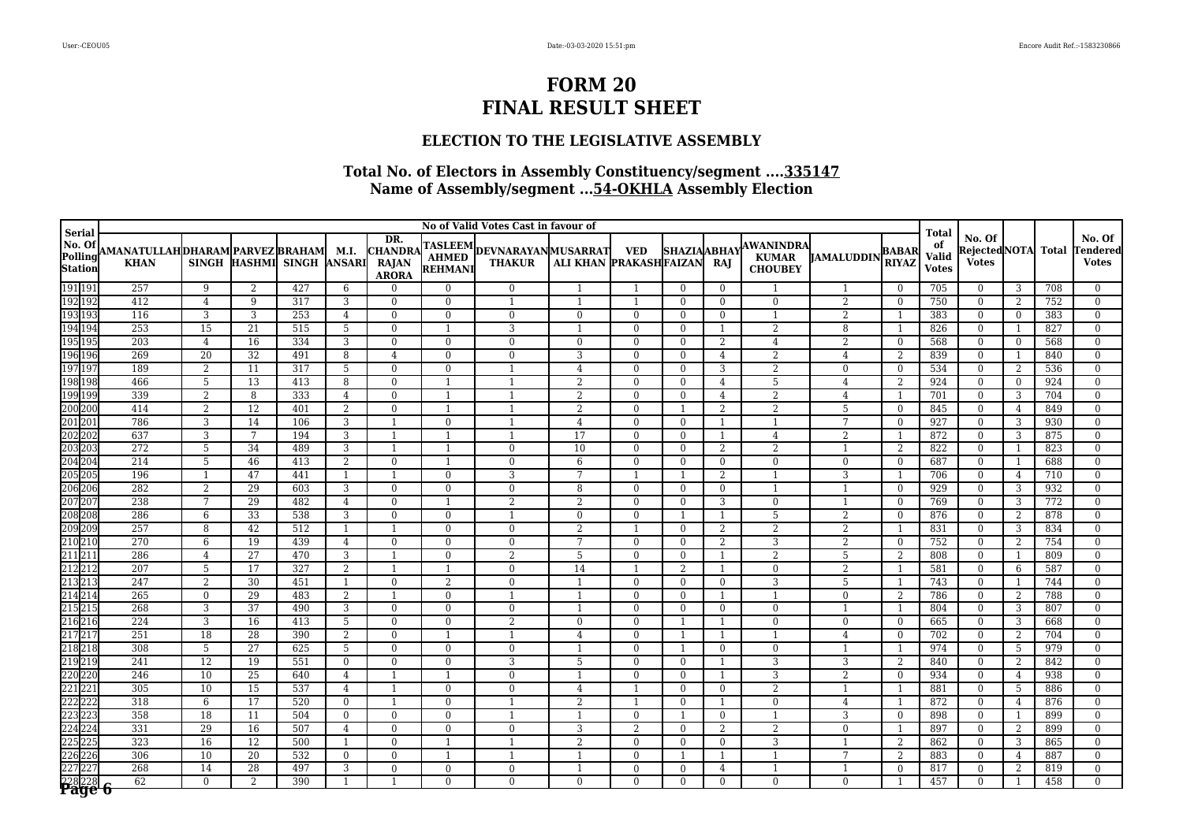### **ELECTION TO THE LEGISLATIVE ASSEMBLY**

|                                                | No of Valid Votes Cast in favour of                  |                 |                      |                           |                |                                                |                                |                                                      |                        |                                |                            |                |                                                    |                     |                              |                                             |                                         |                |              |                                    |
|------------------------------------------------|------------------------------------------------------|-----------------|----------------------|---------------------------|----------------|------------------------------------------------|--------------------------------|------------------------------------------------------|------------------------|--------------------------------|----------------------------|----------------|----------------------------------------------------|---------------------|------------------------------|---------------------------------------------|-----------------------------------------|----------------|--------------|------------------------------------|
| <b>Serial</b><br>No. Of<br>Polling<br>Station  | AMANATULLAHDHARAM PARVEZ BRAHAM  M.I.<br><b>KHAN</b> |                 |                      | SINGH HASHMI SINGH ANSARI |                | DR.<br><b>CHANDRA</b><br><b>RAJAN</b><br>ARORA | REHMANI                        | TASLEEM<br>AHMED DEVNARAYANMUSARRAT<br><b>THAKUR</b> | ALI KHAN PRAKASHFAIZAN | <b>VED</b>                     | <b>SHAZIAABHAY</b>         | RAJ            | <b>AWANINDRA</b><br><b>KUMAR</b><br><b>CHOUBEY</b> | <b>JAMALUDDIN</b>   | <b>BABAR</b><br><b>RIYAZ</b> | <b>Total</b><br>of<br>Valid<br><b>Votes</b> | No. Of<br>Rejected NOTA<br><b>Votes</b> |                | <b>Total</b> | No. Of<br>Tendered<br><b>Votes</b> |
| 191191<br>192192                               | 257                                                  | 9               | 2                    | 427                       | 6              | $\Omega$                                       | $\Omega$                       | $\Omega$                                             | $\overline{1}$         | $\overline{1}$                 | $\Omega$                   | $\Omega$       |                                                    | 1                   | $\Omega$                     | 705                                         | $\Omega$                                | -3             | 708          | $\Omega$                           |
|                                                | 412                                                  | $\overline{4}$  | 9                    | 317                       | 3              | $\Omega$                                       | $\mathbf{0}$                   | $\mathbf{1}$                                         | $\mathbf{1}$           | $\overline{1}$                 | $\Omega$                   | $\Omega$       | $\overline{0}$                                     | 2                   | $\Omega$                     | 750                                         | $\Omega$                                | 2              | 752          | $\Omega$                           |
| 193 193                                        | 116                                                  | 3               | 3                    | 253                       | $\overline{4}$ | $\theta$                                       | $\mathbf{0}$                   | $\Omega$                                             | $\mathbf{0}$           | $\mathbf{0}$                   | $\Omega$                   | $\Omega$       |                                                    | $\overline{2}$      |                              | 383                                         | $\overline{0}$                          | $\overline{0}$ | 383          | $\Omega$                           |
| 194 194                                        | 253                                                  | 15              | 21                   | 515                       | 5              | $\theta$                                       | $\mathbf{1}$                   | 3                                                    |                        | $\Omega$                       | $\theta$                   |                | 2                                                  | 8                   | $\mathbf{1}$                 | 826                                         | $\overline{0}$                          | $\overline{1}$ | 827          | $\overline{0}$                     |
| 195 195                                        | 203                                                  | $\overline{4}$  | 16                   | 334                       | 3              | $\theta$                                       | $\mathbf{0}$                   | $\Omega$                                             | $\mathbf{0}$           | $\mathbf{0}$                   | $\Omega$                   | 2              | $\overline{4}$                                     | 2                   | $\mathbf{0}$                 | 568                                         | $\mathbf{0}$                            | $\overline{0}$ | 568          | $\Omega$                           |
| 196 196                                        | 269                                                  | 20              | 32                   | 491                       | 8              | $\overline{4}$                                 | $\overline{0}$                 | $\Omega$                                             | 3                      | $\Omega$                       | $\Omega$                   | $\overline{4}$ | $\overline{2}$                                     | $\overline{4}$      | $\overline{2}$               | 839                                         | $\mathbf{0}$                            | $\overline{1}$ | 840          | $\Omega$                           |
| 197 197                                        | 189                                                  | $\overline{2}$  | $\overline{11}$      | $\overline{317}$          | $\overline{5}$ | $\theta$                                       | $\theta$                       | $\overline{1}$                                       | $\overline{4}$         | $\overline{0}$                 | $\theta$                   | 3              | $\overline{2}$                                     | $\Omega$            | $\theta$                     | 534                                         | $\overline{0}$                          | 2              | 536          | $\Omega$                           |
| 198 198                                        | 466                                                  | 5               | 13                   | 413                       | 8              | $\Omega$                                       | 1                              |                                                      | $\overline{2}$         | $\theta$                       | $\Omega$                   | $\overline{4}$ | 5                                                  | $\overline{4}$      | 2                            | 924                                         | $\mathbf{0}$                            | $\overline{0}$ | 924          | $\Omega$                           |
| 199 199                                        | 339<br>414                                           | $\overline{2}$  | 8<br>$\overline{12}$ | 333<br>401                | $\overline{4}$ | $\mathbf{0}$<br>$\theta$                       | $\overline{1}$<br>$\mathbf{1}$ | -1<br>$\overline{1}$                                 | $\overline{2}$         | $\mathbf{0}$<br>$\overline{0}$ | $\mathbf{0}$               | $\overline{4}$ | $\overline{2}$<br>$\overline{2}$                   | 4<br>$\overline{5}$ | $\mathbf{1}$                 | 701                                         | $\overline{0}$                          | 3              | 704          | $\Omega$                           |
| 200 200<br>201 201                             | 786                                                  | $\overline{2}$  |                      |                           | $\overline{2}$ | $\overline{1}$                                 |                                |                                                      | $\overline{2}$         |                                |                            | $\overline{2}$ |                                                    | 7                   | $\mathbf{0}$                 | 845                                         | $\overline{0}$                          | 4              | 849          | $\theta$                           |
|                                                | 637                                                  | 3<br>3          | 14<br>7              | 106<br>194                | 3              | -1                                             | $\mathbf{0}$<br>$\mathbf{1}$   |                                                      | 4<br>17                | $\mathbf{0}$<br>$\mathbf{0}$   | $\overline{0}$<br>$\Omega$ |                | $\mathbf{1}$<br>$\overline{4}$                     |                     | $\mathbf{0}$<br>$\mathbf{1}$ | 927<br>872                                  | $\overline{0}$<br>$\Omega$              | 3<br>3         | 930<br>875   | $\overline{0}$<br>$\Omega$         |
| 201201<br>202202<br>203203<br>204204<br>205205 | 272                                                  | $\overline{5}$  | 34                   | 489                       | 3<br>3         | -1                                             | 1                              | $\Omega$                                             | 10                     | $\mathbf{0}$                   | $\Omega$                   | 2              | $\overline{2}$                                     | $\overline{2}$      | $\overline{2}$               | 822                                         | $\overline{0}$                          | 1              | 823          | $\overline{0}$                     |
|                                                | 214                                                  | 5               | 46                   | 413                       | 2              | $\Omega$                                       | $\mathbf{1}$                   | $\Omega$                                             | 6                      | $\mathbf{0}$                   | $\Omega$                   | $\Omega$       | $\mathbf{0}$                                       | $\mathbf{0}$        | $\theta$                     | 687                                         | $\overline{0}$                          | 1              | 688          | $\Omega$                           |
|                                                | 196                                                  | $\overline{1}$  | 47                   | 441                       | $\mathbf{1}$   | $\overline{\phantom{0}}$                       | $\mathbf{0}$                   | 3                                                    | 7                      |                                |                            | $\overline{2}$ |                                                    | 3                   |                              | 706                                         | $\mathbf{0}$                            | $\overline{4}$ | 710          | $\Omega$                           |
|                                                | 282                                                  | 2               | 29                   | 603                       | 3              | $\overline{0}$                                 | $\bf{0}$                       | $\bf{0}$                                             | 8                      | $\mathbf{0}$                   | $\mathbf{0}$               | $\mathbf{0}$   | $\mathbf{1}$                                       | 1                   | $\mathbf{0}$                 | 929                                         | $\overline{0}$                          | 3              | 932          | $\overline{0}$                     |
| 206 206<br>207 207                             | 238                                                  | $7\overline{ }$ | 29                   | 482                       | $\overline{4}$ | $\overline{0}$                                 | $\mathbf{1}$                   | 2                                                    | 2                      | $\mathbf{0}$                   | $\mathbf{0}$               | 3              | $\mathbf{0}$                                       |                     | $\mathbf{0}$                 | 769                                         | $\overline{0}$                          | 3              | 772          | $\theta$                           |
|                                                | 286                                                  | 6               | 33                   | 538                       | 3              | $\Omega$                                       | $\theta$                       |                                                      | $\mathbf{0}$           | $\theta$                       |                            |                | 5                                                  | $\overline{2}$      | $\mathbf{0}$                 | 876                                         | $\mathbf{0}$                            | 2              | 878          | $\overline{0}$                     |
| 208208<br>209209<br>210210                     | 257                                                  | 8               | 42                   | 512                       | $\mathbf{1}$   | -1                                             | $\theta$                       | $\Omega$                                             | $\overline{2}$         | $\overline{1}$                 | $\Omega$                   | 2              | 2                                                  | 2                   | $\mathbf{1}$                 | 831                                         | $\Omega$                                | 3              | 834          | $\Omega$                           |
|                                                | 270                                                  | 6               | 19                   | 439                       | 4              | $\Omega$                                       | $\theta$                       | $\Omega$                                             | 7                      | $\Omega$                       | $\Omega$                   | 2              | 3                                                  | $\overline{2}$      | $\theta$                     | 752                                         | $\mathbf{0}$                            | 2              | 754          | $\Omega$                           |
| 211 211                                        | 286                                                  | $\overline{4}$  | 27                   | 470                       | 3              | $\overline{1}$                                 | $\theta$                       | $\mathfrak{D}$                                       | 5                      | $\Omega$                       | $\Omega$                   | $\mathbf{1}$   | 2                                                  | 5                   | 2                            | 808                                         | $\Omega$                                | $\overline{1}$ | 809          | $\Omega$                           |
| 212 212                                        | 207                                                  | 5               | 17                   | 327                       | 2              | $\overline{1}$                                 | $\overline{1}$                 | $\Omega$                                             | 14                     | $\mathbf{1}$                   | 2                          |                | $\mathbf{0}$                                       | 2                   | $\mathbf{1}$                 | 581                                         | $\Omega$                                | 6              | 587          | $\Omega$                           |
| 213 213                                        | 247                                                  | 2               | 30                   | 451                       | 1              | $\overline{0}$                                 | 2                              | $\mathbf{0}$                                         | $\overline{1}$         | $\mathbf{0}$                   | $\overline{0}$             | $\mathbf{0}$   | 3                                                  | 5                   | 1                            | 743                                         | $\overline{0}$                          | 1              | 744          | $\theta$                           |
| 214 214                                        | 265                                                  | $\Omega$        | 29                   | 483                       | 2              | $\overline{1}$                                 | $\theta$                       | $\overline{1}$                                       | $\overline{1}$         | $\Omega$                       | $\theta$                   |                | $\mathbf{1}$                                       | $\Omega$            | 2                            | 786                                         | $\overline{0}$                          | 2              | 788          | $\Omega$                           |
| 215 215                                        | 268                                                  | 3               | 37                   | 490                       | $\overline{3}$ | $\theta$                                       | $\theta$                       | $\Omega$                                             |                        | $\Omega$                       | $\Omega$                   | $\Omega$       | $\overline{0}$                                     |                     | $\mathbf{1}$                 | 804                                         | $\mathbf{0}$                            | 3              | 807          | $\overline{0}$                     |
| $\frac{216}{216}$ $\frac{216}{217}$            | 224                                                  | 3               | 16                   | 413                       | 5              | $\theta$                                       | $\mathbf{0}$                   | $\overline{2}$                                       | $\mathbf{0}$           | $\Omega$                       |                            |                | $\mathbf{0}$                                       | $\mathbf{0}$        | $\theta$                     | 665                                         | $\Omega$                                | 3              | 668          | $\Omega$                           |
|                                                | 251                                                  | 18              | 28                   | 390                       | 2              | $\Omega$                                       | 1                              |                                                      | $\overline{4}$         | $\mathbf{0}$                   |                            |                |                                                    | $\overline{4}$      | $\mathbf{0}$                 | 702                                         | $\mathbf{0}$                            | 2              | 704          | $\Omega$                           |
| 218 218                                        | 308                                                  | 5               | $\overline{27}$      | 625                       | 5              | $\overline{0}$                                 | $\mathbf{0}$                   | $\mathbf{0}$                                         | $\mathbf{1}$           | $\Omega$                       | -1                         | $\Omega$       | $\overline{0}$                                     | $\overline{1}$      | $\mathbf{1}$                 | 974                                         | $\overline{0}$                          | 5              | 979          | $\Omega$                           |
| 219 219                                        | 241                                                  | 12              | 19                   | 551                       | $\overline{0}$ | $\overline{0}$                                 | $\mathbf{0}$                   | 3                                                    | 5                      | $\mathbf{0}$                   | $\Omega$                   |                | 3                                                  | 3                   | $\overline{2}$               | 840                                         | $\mathbf{0}$                            | $\overline{2}$ | 842          | $\Omega$                           |
| 220 220                                        | 246                                                  | 10              | 25                   | 640                       | $\overline{4}$ | -1                                             | $\mathbf{1}$                   | $\mathbf{0}$                                         | $\mathbf{1}$           | $\mathbf{0}$                   | $\mathbf{0}$               |                | 3                                                  | $\overline{2}$      | $\overline{0}$               | 934                                         | $\bf{0}$                                | $\overline{4}$ | 938          | $\overline{0}$                     |
| 221221                                         | 305                                                  | 10              | 15                   | 537                       | 4              | $\overline{1}$                                 | $\mathbf{0}$                   | $\Omega$                                             | 4                      | $\overline{1}$                 | $\Omega$                   | $\Omega$       | 2                                                  |                     | $\mathbf{1}$                 | 881                                         | $\overline{0}$                          | -5             | 886          | $\Omega$                           |
| 222 222                                        | 318                                                  | 6               | 17                   | 520                       | $\mathbf{0}$   | - 1                                            | $\mathbf{0}$                   |                                                      | $\overline{2}$         |                                | $\overline{0}$             |                | $\mathbf{0}$                                       | $\overline{4}$      | $\mathbf{1}$                 | 872                                         | $\bf{0}$                                | $\overline{4}$ | 876          | $\mathbf{0}$                       |
| 223 223                                        | 358                                                  | 18              | 11                   | 504                       | $\overline{0}$ | $\overline{0}$                                 | $\mathbf{0}$                   |                                                      | 1                      | $\mathbf{0}$                   |                            | $\Omega$       | $\mathbf{1}$                                       | 3                   | $\mathbf{0}$                 | 898                                         | $\mathbf{0}$                            | -1             | 899          | $\Omega$                           |
| 224 224                                        | 331                                                  | 29              | 16                   | 507                       | 4              | $\overline{0}$                                 | $\mathbf{0}$                   | $\mathbf{0}$                                         | 3                      | $\overline{2}$                 | $\mathbf{0}$               | 2              | 2                                                  | $\overline{0}$      | 1                            | 897                                         | $\mathbf{0}$                            | 2              | 899          | $\mathbf{0}$                       |
| 225 225                                        | 323                                                  | $\overline{16}$ | $\overline{12}$      | 500                       | $\mathbf{1}$   | $\overline{0}$                                 | $\mathbf{1}$                   | $\overline{1}$                                       | 2                      | $\mathbf{0}$                   | $\mathbf{0}$               | $\Omega$       | 3                                                  | $\mathbf{1}$        | 2                            | 862                                         | $\overline{0}$                          | 3              | 865          | $\overline{0}$                     |
| 226 226                                        | 306                                                  | 10              | 20                   | 532                       | $\overline{0}$ | $\mathbf{0}$                                   | 1                              |                                                      | $\mathbf{1}$           | $\mathbf{0}$                   |                            |                | $\mathbf{1}$                                       | 7                   | 2                            | 883                                         | $\mathbf{0}$                            | $\overline{4}$ | 887          | $\theta$                           |
| 227 227                                        | 268                                                  | 14              | 28                   | 497                       | 3              | $\Omega$                                       | $\mathbf{0}$                   | $\mathbf{0}$                                         | 1                      | $\mathbf{0}$                   | $\overline{0}$             | $\overline{4}$ | $\mathbf{1}$                                       | 1                   | $\mathbf{0}$                 | 817                                         | $\mathbf{0}$                            | 2              | 819          | $\Omega$                           |
| 228 228 6                                      | 62                                                   | $\Omega$        | 2                    | 390                       |                |                                                | $\Omega$                       | $\Omega$                                             | $\Omega$               | $\Omega$                       | $\Omega$                   | $\Omega$       | $\Omega$                                           | $\Omega$            |                              | 457                                         | $\Omega$                                |                | 458          |                                    |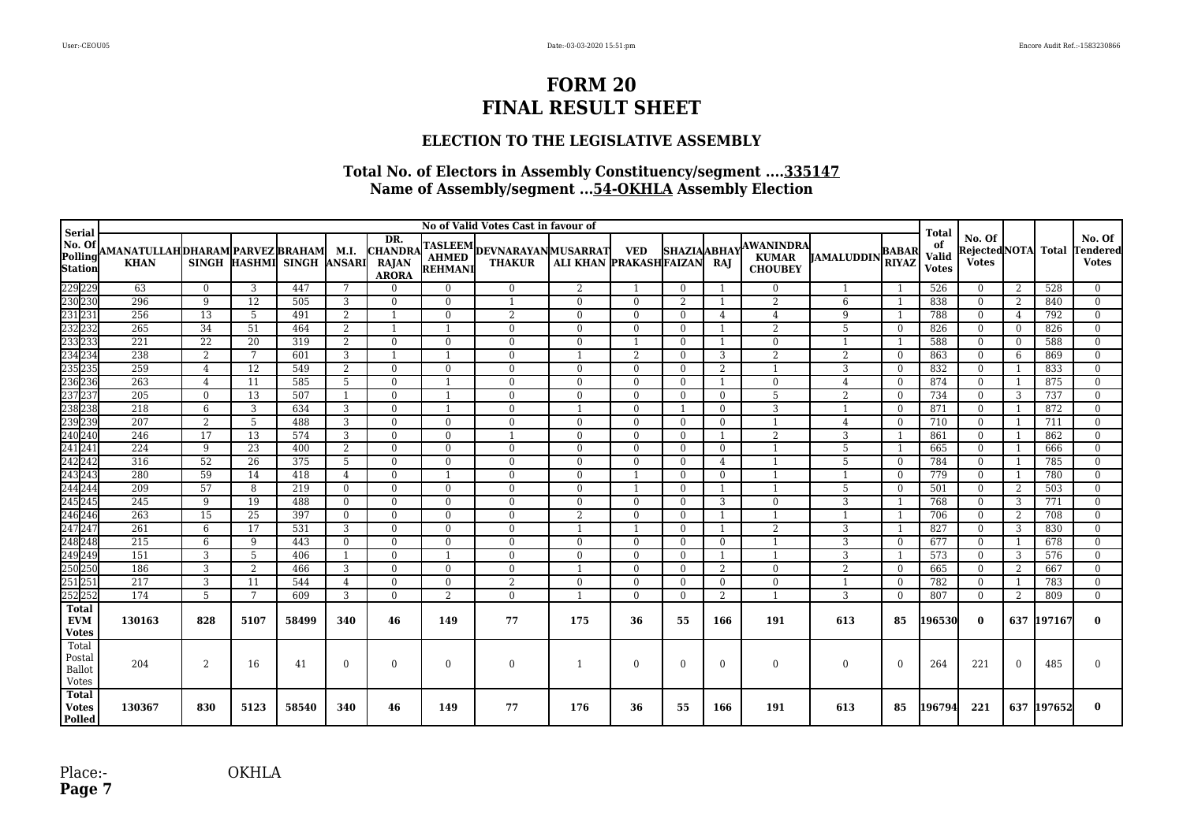### **ELECTION TO THE LEGISLATIVE ASSEMBLY**

| <b>Serial</b>                              | No of Valid Votes Cast in favour of             |                |      |                           |                 |                                                       |                |                                              |                            |                |                     |                |                                             |                    |                              | <b>Total</b>                       |                                              |                |            |                                    |
|--------------------------------------------|-------------------------------------------------|----------------|------|---------------------------|-----------------|-------------------------------------------------------|----------------|----------------------------------------------|----------------------------|----------------|---------------------|----------------|---------------------------------------------|--------------------|------------------------------|------------------------------------|----------------------------------------------|----------------|------------|------------------------------------|
| No. Of<br>Polling<br>Station               | AMANATULLAHDHARAM PARVEZ BRAHAM <br><b>KHAN</b> |                |      | SINGH HASHMI SINGH ANSARI | M.I.            | DR.<br><b>CHANDRA</b><br><b>RAJAN</b><br><b>ARORA</b> | <b>REHMANI</b> | TASLEEM DEVNARAYAN MUSARRAT<br><b>THAKUR</b> | ALI KHAN PRAKASHFAIZAN RAJ | <b>VED</b>     | <b>SHAZIA ABHAY</b> |                | AWANINDRA<br><b>KUMAR</b><br><b>CHOUBEY</b> | <b>IJAMALUDDIN</b> | <b>BABAR</b><br><b>RIYAZ</b> | of<br><b>Valid</b><br><b>Votes</b> | No. Of<br>RejectedNOTA Total<br><b>Votes</b> |                |            | No. Of<br>Tendered<br><b>Votes</b> |
|                                            | 63                                              | $\overline{0}$ | 3    | 447                       | $7\overline{ }$ | $\overline{0}$                                        | $\overline{0}$ | $\mathbf{0}$                                 | 2                          | -1             | $\Omega$            | $\overline{1}$ | $\mathbf{0}$                                | $\mathbf{1}$       |                              | 526                                | $\overline{0}$                               | 2              | 528        | $\overline{0}$                     |
|                                            | 296                                             | 9              | 12   | 505                       | 3               | $\overline{0}$                                        | $\overline{0}$ |                                              | $\overline{0}$             | $\overline{0}$ | 2                   | - 1            | $\overline{2}$                              | 6                  |                              | 838                                | $\overline{0}$                               | 2              | 840        | $\mathbf{0}$                       |
|                                            | 256                                             | 13             | 5    | 491                       | 2               |                                                       | $\overline{0}$ | $\overline{2}$                               | $\bf{0}$                   | $\bf{0}$       | $\Omega$            | 4              | 4                                           | 9                  |                              | 788                                | $\overline{0}$                               | 4              | 792        | $\Omega$                           |
|                                            | 265                                             | 34             | 51   | 464                       | 2               |                                                       |                | $\mathbf{0}$                                 | $\bf{0}$                   | $\bf{0}$       | $\Omega$            |                | 2                                           | 5                  | $\Omega$                     | 826                                | $\Omega$                                     | $\theta$       | 826        | $\Omega$                           |
|                                            | 221                                             | 22             | 20   | 319                       | 2               | $\theta$                                              | $\bf{0}$       | $\bf{0}$                                     | $\bf{0}$                   | $\overline{1}$ | $\Omega$            |                | $\overline{0}$                              |                    |                              | 588                                | $\overline{0}$                               | $\theta$       | 588        | $\Omega$                           |
|                                            | 238                                             | 2              | 7    | 601                       | 3               |                                                       | $\mathbf{1}$   | $\mathbf{0}$                                 | $\overline{1}$             | $\overline{2}$ | $\Omega$            | 3              | $\overline{2}$                              | 2                  | $\Omega$                     | 863                                | $\Omega$                                     | 6              | 869        | $\Omega$                           |
|                                            | 259                                             | $\overline{4}$ | 12   | 549                       | 2               | $\overline{0}$                                        | $\overline{0}$ | $\overline{0}$                               | $\overline{0}$             | $\overline{0}$ | $\theta$            | $\overline{2}$ | 1                                           | 3                  | $\mathbf{0}$                 | 832                                | $\overline{0}$                               | -1             | 833        | $\Omega$                           |
|                                            | $\overline{263}$                                | $\overline{4}$ | 11   | 585                       | 5               | $\theta$                                              | $\mathbf{1}$   | $\mathbf{0}$                                 | $\mathbf{0}$               | $\mathbf{0}$   | $\theta$            |                | $\overline{0}$                              | $\overline{4}$     | $\mathbf{0}$                 | 874                                | $\overline{0}$                               | -1             | 875        | $\Omega$                           |
|                                            | 205                                             | $\overline{0}$ | 13   | 507                       |                 | $\Omega$                                              |                | $\bf{0}$                                     | $\bf{0}$                   | $\mathbf{0}$   | $\theta$            | $\Omega$       | 5                                           | 2                  | $\Omega$                     | 734                                | $\overline{0}$                               | 3              | 737        | $\Omega$                           |
|                                            | 218                                             | 6              | 3    | 634                       | 3               | $\Omega$                                              |                | $\mathbf{0}$                                 | $\mathbf{1}$               | $\overline{0}$ |                     | $\Omega$       | 3                                           |                    | $\Omega$                     | 871                                | $\overline{0}$                               | $\overline{1}$ | 872        | $\Omega$                           |
|                                            | 207                                             | 2              | 5    | 488                       | 3               | $\theta$                                              | $\overline{0}$ | $\mathbf{0}$                                 | $\overline{0}$             | $\overline{0}$ | $\Omega$            | $\Omega$       | 1                                           | $\overline{4}$     | $\theta$                     | 710                                | $\overline{0}$                               | 1              | 711        | $\Omega$                           |
|                                            | 246                                             | 17             | 13   | 574                       | 3               | $\overline{0}$                                        | $\overline{0}$ |                                              | $\overline{0}$             | $\overline{0}$ | $\theta$            |                | 2                                           | 3                  |                              | 861                                | $\overline{0}$                               | 1              | 862        | $\Omega$                           |
|                                            | 224                                             | 9              | 23   | 400                       | 2               | $\Omega$                                              | $\mathbf{0}$   | $\overline{0}$                               | $\overline{0}$             | $\overline{0}$ | $\Omega$            | $\Omega$       |                                             | 5                  |                              | 665                                | $\overline{0}$                               | -1             | 666        | $\Omega$                           |
|                                            | $\overline{316}$                                | 52             | 26   | 375                       | 5               | $\Omega$                                              | $\mathbf{0}$   | $\mathbf{0}$                                 | $\mathbf{0}$               | $\Omega$       | $\Omega$            | $\overline{4}$ |                                             | 5                  | $\Omega$                     | 784                                | $\overline{0}$                               | -1             | 785        | $\Omega$                           |
|                                            | 280                                             | 59             | 14   | 418                       | 4               | $\Omega$                                              |                | $\mathbf{0}$                                 | $\mathbf{0}$               |                | $\Omega$            | $\overline{0}$ |                                             |                    | $\Omega$                     | 779                                | $\overline{0}$                               | $\overline{1}$ | 780        | $\mathbf{0}$                       |
|                                            | 209                                             | 57             | 8    | 219                       | $\Omega$        | $\Omega$                                              | $\overline{0}$ | $\mathbf{0}$                                 | $\mathbf{0}$               |                | $\Omega$            |                |                                             | 5                  | $\mathbf{0}$                 | 501                                | $\overline{0}$                               | 2              | 503        | $\overline{0}$                     |
|                                            | 245                                             | 9              | 19   | 488                       | $\Omega$        | $\Omega$                                              | $\overline{0}$ | $\overline{0}$                               | $\mathbf{0}$               | $\overline{0}$ | $\theta$            | 3              | $\overline{0}$                              | 3                  |                              | 768                                | $\overline{0}$                               | 3              | 771        | $\overline{0}$                     |
|                                            | 263                                             | 15             | 25   | 397                       | $\Omega$        | $\Omega$                                              | $\Omega$       | $\overline{0}$                               | 2                          | $\theta$       | $\Omega$            | -1             |                                             |                    |                              | 706                                | $\overline{0}$                               | 2              | 708        | $\theta$                           |
|                                            | 261                                             | 6              | 17   | 531                       | 3               | $\Omega$                                              | $\Omega$       | $\mathbf{0}$                                 |                            |                | $\Omega$            |                | $\overline{2}$                              | 3                  |                              | 827                                | $\overline{0}$                               | 3              | 830        | $\Omega$                           |
|                                            | 215                                             | 6              | -9   | 443                       | $\Omega$        | $\Omega$                                              | $\Omega$       | $\Omega$                                     | $\Omega$                   | $\theta$       | $\Omega$            | $\Omega$       | 1                                           | 3                  | $\mathbf{0}$                 | 677                                | $\Omega$                                     | $\overline{1}$ | 678        | $\Omega$                           |
|                                            | 151                                             | 3              | 5    | 406                       | -1              | $\overline{0}$                                        | -1             | $\mathbf{0}$                                 | $\mathbf{0}$               | $\mathbf{0}$   | $\bf{0}$            | - 1            |                                             | 3                  |                              | 573                                | $\overline{0}$                               | 3              | 576        | $\mathbf{0}$                       |
|                                            | 186                                             | 3              | 2    | 466                       | 3               | $\overline{0}$                                        | $\overline{0}$ | $\mathbf{0}$                                 |                            | $\bf{0}$       | $\Omega$            | 2              | $\mathbf{0}$                                | $\overline{2}$     | $\mathbf{0}$                 | 665                                | $\mathbf{0}$                                 | 2              | 667        | $\Omega$                           |
|                                            | 217                                             | 3              | 11   | 544                       | 4               | $\Omega$                                              | $\overline{0}$ | $\overline{2}$                               | $\bf{0}$                   | $\mathbf{0}$   | $\Omega$            | $\Omega$       | $\Omega$                                    |                    | $\Omega$                     | 782                                | $\overline{0}$                               | $\overline{1}$ | 783        | $\overline{0}$                     |
|                                            | 174                                             | 5              | 7    | 609                       | 3               | $\Omega$                                              | 2              | $\mathbf{0}$                                 | $\overline{1}$             | $\overline{0}$ | $\Omega$            | $\overline{2}$ |                                             | 3                  | $\Omega$                     | 807                                | $\Omega$                                     | 2              | 809        | $\Omega$                           |
| <b>Total</b><br><b>EVM</b><br><b>Votes</b> | 130163                                          | 828            | 5107 | 58499                     | 340             | 46                                                    | 149            | 77                                           | 175                        | 36             | 55                  | 166            | 191                                         | 613                | 85                           | 196530                             | $\mathbf{0}$                                 |                | 637 197167 | $\mathbf{0}$                       |
| Total<br>Postal<br>Ballot<br>Votes         | 204                                             | 2              | 16   | 41                        | $\Omega$        | $\theta$                                              | $\mathbf{0}$   | $\bf{0}$                                     | $\mathbf{1}$               | $\bf{0}$       | $\Omega$            | $\mathbf{0}$   | $\mathbf{0}$                                | $\theta$           | $\Omega$                     | 264                                | 221                                          | $\Omega$       | 485        |                                    |
| <b>Total</b><br><b>Votes</b><br>Polled     | 130367                                          | 830            | 5123 | 58540                     | 340             | 46                                                    | 149            | 77                                           | 176                        | 36             | 55                  | 166            | 191                                         | 613                | 85                           | 196794                             | 221                                          |                | 637 197652 | 0                                  |